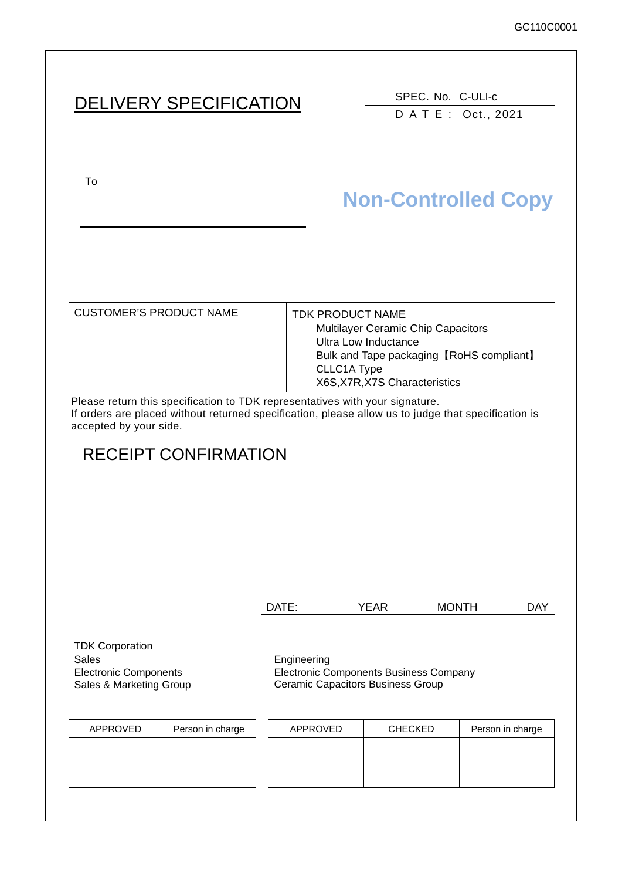# DELIVERY SPECIFICATION SPEC. No. C-ULI-c

DATE: Oct., 2021

To upon the acceptance of this spec. previous spec. previous spec. previous spec. previous spec. previous spec.

# **Non-Controlled Copy**

CUSTOMER'S PRODUCT NAME | TDK PRODUCT NAME

Multilayer Ceramic Chip Capacitors Ultra Low Inductance Bulk and Tape packaging【RoHS compliant】 CLLC1A Type X6S,X7R,X7S Characteristics

Please return this specification to TDK representatives with your signature. If orders are placed without returned specification, please allow us to judge that specification is accepted by your side.

# RECEIPT CONFIRMATION

DATE: YEAR MONTH DAY

TDK Corporation Sales **Engineering** Electronic Components Sales & Marketing Group

Electronic Components Business Company Ceramic Capacitors Business Group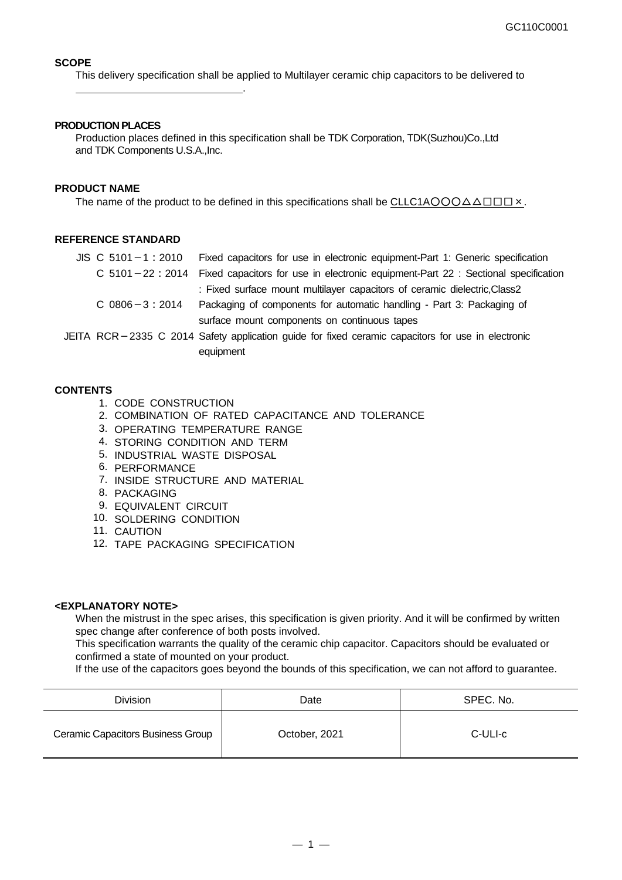### **SCOPE**

This delivery specification shall be applied to Multilayer ceramic chip capacitors to be delivered to

#### **PRODUCTION PLACES**

.

Production places defined in this specification shall be TDK Corporation, TDK(Suzhou)Co.,Ltd and TDK Components U.S.A.,Inc.

#### **PRODUCT NAME**

The name of the product to be defined in this specifications shall be CLLC1AOOO $\triangle\triangle$  $\Box$  $\Box$  $\times$ .

#### **REFERENCE STANDARD**

| $JIS \, C \, 5101 - 1 : 2010$ | Fixed capacitors for use in electronic equipment-Part 1: Generic specification                          |
|-------------------------------|---------------------------------------------------------------------------------------------------------|
|                               | C $5101 - 22$ : 2014 Fixed capacitors for use in electronic equipment-Part 22 : Sectional specification |
|                               | : Fixed surface mount multilayer capacitors of ceramic dielectric, Class2                               |
| $C$ 0806 $-3:2014$            | Packaging of components for automatic handling - Part 3: Packaging of                                   |
|                               | surface mount components on continuous tapes                                                            |
|                               | JEITA RCR-2335 C 2014 Safety application guide for fixed ceramic capacitors for use in electronic       |
|                               | equipment                                                                                               |

#### **CONTENTS**

- 1. CODE CONSTRUCTION
- 2. COMBINATION OF RATED CAPACITANCE AND TOLERANCE
- 3. OPERATING TEMPERATURE RANGE
- 4. STORING CONDITION AND TERM
- 5. INDUSTRIAL WASTE DISPOSAL
- 6. PERFORMANCE
- 7. INSIDE STRUCTURE AND MATERIAL
- 8. PACKAGING
- 9. EQUIVALENT CIRCUIT
- 10. SOLDERING CONDITION
- 11. CAUTION
- 12. TAPE PACKAGING SPECIFICATION

#### **<EXPLANATORY NOTE>**

When the mistrust in the spec arises, this specification is given priority. And it will be confirmed by written spec change after conference of both posts involved.

This specification warrants the quality of the ceramic chip capacitor. Capacitors should be evaluated or confirmed a state of mounted on your product.

If the use of the capacitors goes beyond the bounds of this specification, we can not afford to guarantee.

| Division                          | Date          | SPEC. No. |
|-----------------------------------|---------------|-----------|
| Ceramic Capacitors Business Group | October, 2021 | C-ULI-c   |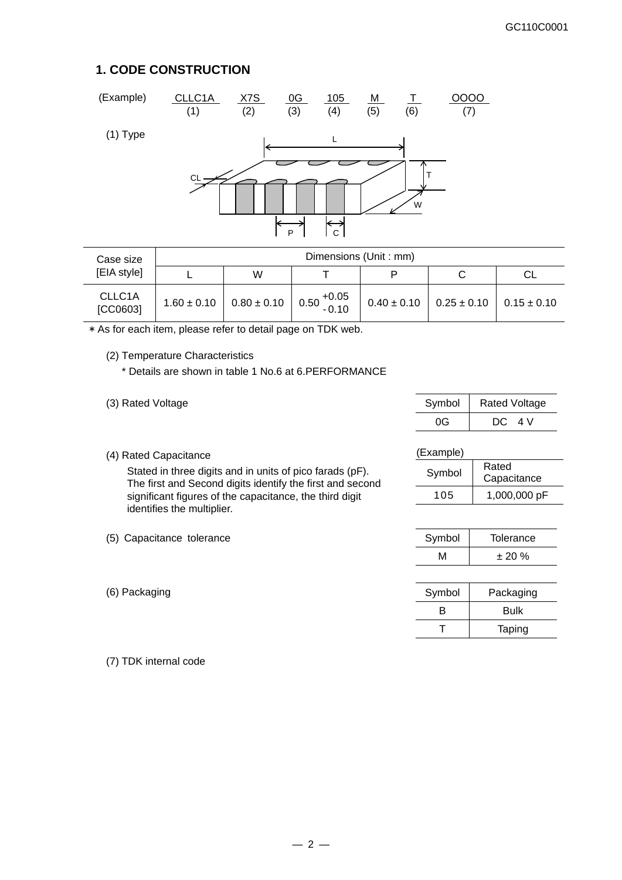### **1. CODE CONSTRUCTION**



| Case size                       | Dimensions (Unit: mm) |                                                       |  |                 |                                 |    |
|---------------------------------|-----------------------|-------------------------------------------------------|--|-----------------|---------------------------------|----|
| [EIA style]                     |                       | W                                                     |  | P               |                                 | СL |
| CLLC <sub>1</sub> A<br>[CC0603] | $1.60 \pm 0.10$       | $\Big  0.80 \pm 0.10 \Big  0.50 \Big _{0.10}^{+0.05}$ |  | $0.40 \pm 0.10$ | $0.25 \pm 0.10$ 0.15 $\pm$ 0.10 |    |

\* As for each item, please refer to detail page on TDK web.

(2) Temperature Characteristics

\* Details are shown in table 1 No.6 at 6.PERFORMANCE

- (3) Rated Voltage Symbol Rated Voltage Symbol Rated Voltage 0G | DC 4 V
- (4) Rated Capacitance

Stated in three digits and in units of pico farads (pF). The first and Second digits identify the first and second significant figures of the capacitance, the third digit identifies the multiplier.

- (5) Capacitance tolerance
- $(6)$  Packaging

(Example) Symbol Rated

| Symbol | Raleu<br>Capacitance |
|--------|----------------------|
| 105    | 1,000,000 pF         |

| Symbol | Tolerance |
|--------|-----------|
| M      | ± 20%     |

| Symbol | Packaging |
|--------|-----------|
| R      | Bulk      |
|        | Taping    |

(7) TDK internal code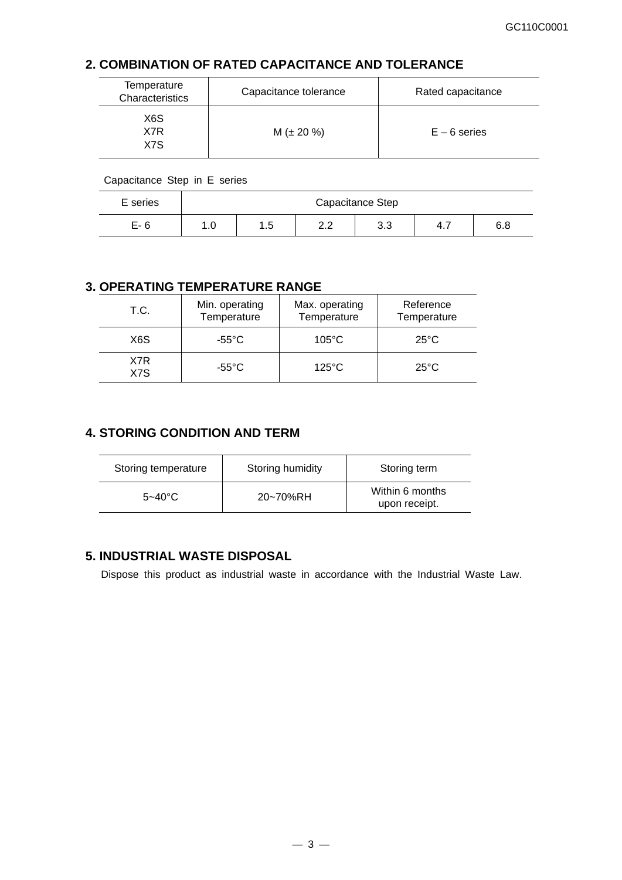### **2. COMBINATION OF RATED CAPACITANCE AND TOLERANCE**

| Temperature<br>Characteristics | Capacitance tolerance | Rated capacitance |
|--------------------------------|-----------------------|-------------------|
| X <sub>6</sub> S<br>X7R<br>X7S | $M (\pm 20 \%)$       | $E - 6$ series    |

Capacitance Step in E series

| E series | Capacitance Step |                 |                           |            |     |     |
|----------|------------------|-----------------|---------------------------|------------|-----|-----|
| $E-6$    | 1.U              | <b>1</b><br>ں ، | <u>ົດ</u><br><u>_ . _</u> | റ റ<br>ິ∿. | 4., | 6.8 |

### **3. OPERATING TEMPERATURE RANGE**

| T.C.       | Min. operating<br>Temperature | Max. operating<br>Temperature | Reference<br>Temperature |
|------------|-------------------------------|-------------------------------|--------------------------|
| X6S        | $-55^{\circ}$ C               | $105^{\circ}$ C               | $25^{\circ}$ C           |
| X7R<br>X7S | -55°C                         | $125^{\circ}$ C               | $25^{\circ}$ C           |

### **4. STORING CONDITION AND TERM**

| Storing temperature | Storing humidity | Storing term                     |
|---------------------|------------------|----------------------------------|
| $5 - 40^{\circ}$ C  | 20~70%RH         | Within 6 months<br>upon receipt. |

### **5. INDUSTRIAL WASTE DISPOSAL**

Dispose this product as industrial waste in accordance with the Industrial Waste Law.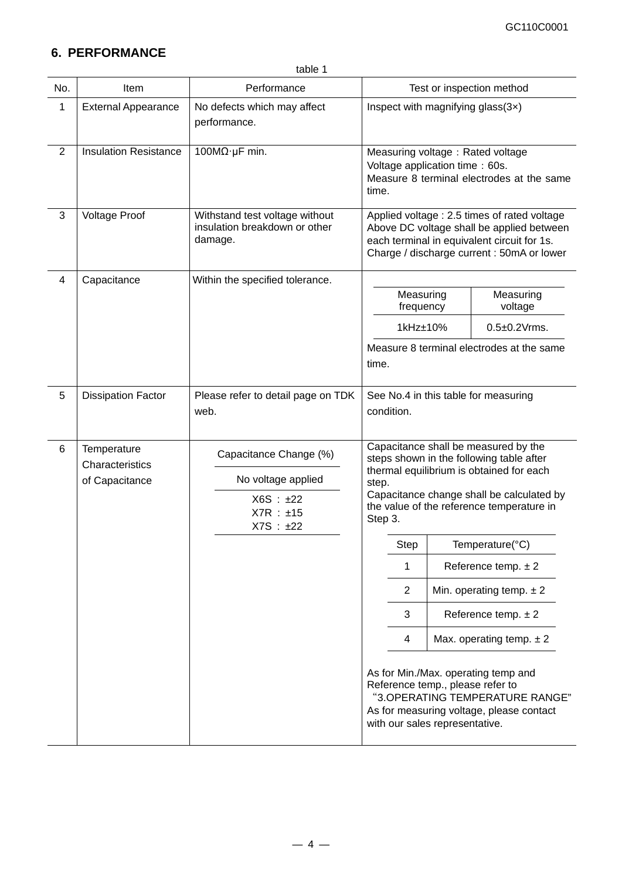# **6. PERFORMANCE**

|                | table 1                                          |                                                                                     |                                                                                                                                                                                                                                                                                                                                                                                                                                                                                                                                                                                                                                       |  |  |  |
|----------------|--------------------------------------------------|-------------------------------------------------------------------------------------|---------------------------------------------------------------------------------------------------------------------------------------------------------------------------------------------------------------------------------------------------------------------------------------------------------------------------------------------------------------------------------------------------------------------------------------------------------------------------------------------------------------------------------------------------------------------------------------------------------------------------------------|--|--|--|
| No.            | Item                                             | Test or inspection method<br>Performance                                            |                                                                                                                                                                                                                                                                                                                                                                                                                                                                                                                                                                                                                                       |  |  |  |
| 1              | <b>External Appearance</b>                       | No defects which may affect<br>performance.                                         | Inspect with magnifying glass(3x)                                                                                                                                                                                                                                                                                                                                                                                                                                                                                                                                                                                                     |  |  |  |
| $\overline{2}$ | <b>Insulation Resistance</b>                     | 100 $M\Omega$ ·µF min.                                                              | Measuring voltage: Rated voltage<br>Voltage application time: 60s.<br>Measure 8 terminal electrodes at the same<br>time.                                                                                                                                                                                                                                                                                                                                                                                                                                                                                                              |  |  |  |
| 3              | <b>Voltage Proof</b>                             | Withstand test voltage without<br>insulation breakdown or other<br>damage.          | Applied voltage : 2.5 times of rated voltage<br>Above DC voltage shall be applied between<br>each terminal in equivalent circuit for 1s.<br>Charge / discharge current : 50mA or lower                                                                                                                                                                                                                                                                                                                                                                                                                                                |  |  |  |
| $\overline{4}$ | Capacitance                                      | Within the specified tolerance.                                                     |                                                                                                                                                                                                                                                                                                                                                                                                                                                                                                                                                                                                                                       |  |  |  |
|                |                                                  |                                                                                     | Measuring<br>Measuring<br>frequency<br>voltage                                                                                                                                                                                                                                                                                                                                                                                                                                                                                                                                                                                        |  |  |  |
|                |                                                  |                                                                                     | 1kHz±10%<br>$0.5\pm0.2$ Vrms.                                                                                                                                                                                                                                                                                                                                                                                                                                                                                                                                                                                                         |  |  |  |
|                |                                                  |                                                                                     | Measure 8 terminal electrodes at the same<br>time.                                                                                                                                                                                                                                                                                                                                                                                                                                                                                                                                                                                    |  |  |  |
| 5              | <b>Dissipation Factor</b>                        | Please refer to detail page on TDK<br>web.                                          | See No.4 in this table for measuring<br>condition.                                                                                                                                                                                                                                                                                                                                                                                                                                                                                                                                                                                    |  |  |  |
| 6              | Temperature<br>Characteristics<br>of Capacitance | Capacitance Change (%)<br>No voltage applied<br>X6S : ±22<br>X7R : ±15<br>X7S : ±22 | Capacitance shall be measured by the<br>steps shown in the following table after<br>thermal equilibrium is obtained for each<br>step.<br>Capacitance change shall be calculated by<br>the value of the reference temperature in<br>Step 3.<br>Step<br>Temperature(°C)<br>1<br>Reference temp. $\pm 2$<br>$\overline{2}$<br>Min. operating temp. $\pm 2$<br>3<br>Reference temp. $\pm 2$<br>$\overline{4}$<br>Max. operating temp. $\pm 2$<br>As for Min./Max. operating temp and<br>Reference temp., please refer to<br>"3.OPERATING TEMPERATURE RANGE"<br>As for measuring voltage, please contact<br>with our sales representative. |  |  |  |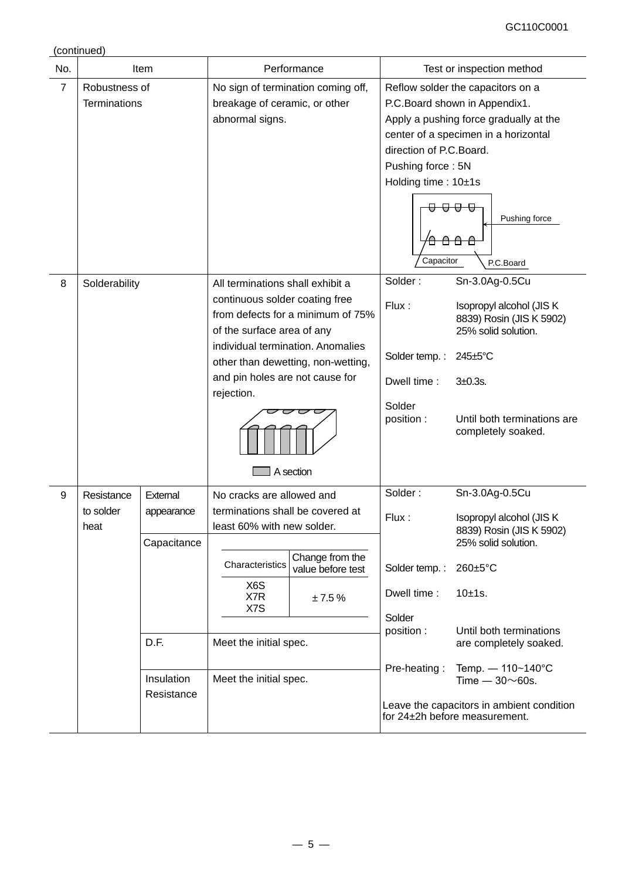(continued)

| No.            |                                 | Item                                                                     |                                                                                                                                                                                         | Performance                                                                                                               |                                                                                         | Test or inspection method                                                                                                                                                                                                                                                                                   |
|----------------|---------------------------------|--------------------------------------------------------------------------|-----------------------------------------------------------------------------------------------------------------------------------------------------------------------------------------|---------------------------------------------------------------------------------------------------------------------------|-----------------------------------------------------------------------------------------|-------------------------------------------------------------------------------------------------------------------------------------------------------------------------------------------------------------------------------------------------------------------------------------------------------------|
| $\overline{7}$ | Robustness of<br>Terminations   |                                                                          | breakage of ceramic, or other<br>abnormal signs.                                                                                                                                        | No sign of termination coming off,                                                                                        | direction of P.C.Board.<br>Pushing force: 5N<br>Holding time: 10±1s<br>Capacitor        | Reflow solder the capacitors on a<br>P.C.Board shown in Appendix1.<br>Apply a pushing force gradually at the<br>center of a specimen in a horizontal<br>Pushing force<br>P.C.Board                                                                                                                          |
| 8              | Solderability                   |                                                                          | All terminations shall exhibit a<br>continuous solder coating free<br>of the surface area of any<br>and pin holes are not cause for<br>rejection.                                       | from defects for a minimum of 75%<br>individual termination. Anomalies<br>other than dewetting, non-wetting,<br>A section | Solder:<br>Flux:<br>Solder temp.:<br>Dwell time:<br>Solder<br>position :                | Sn-3.0Ag-0.5Cu<br>Isopropyl alcohol (JIS K<br>8839) Rosin (JIS K 5902)<br>25% solid solution.<br>$245 \pm 5$ °C<br>$3+0.3s$ .<br>Until both terminations are<br>completely soaked.                                                                                                                          |
| 9              | Resistance<br>to solder<br>heat | Extemal<br>appearance<br>Capacitance<br>D.F.<br>Insulation<br>Resistance | No cracks are allowed and<br>terminations shall be covered at<br>least 60% with new solder.<br>Characteristics<br>X6S<br>X7R<br>X7S<br>Meet the initial spec.<br>Meet the initial spec. | Change from the<br>value before test<br>±7.5%                                                                             | Solder:<br>Flux:<br>Solder temp.:<br>Dwell time:<br>Solder<br>position:<br>Pre-heating: | Sn-3.0Ag-0.5Cu<br>Isopropyl alcohol (JIS K<br>8839) Rosin (JIS K 5902)<br>25% solid solution.<br>260±5°C<br>10±1s.<br>Until both terminations<br>are completely soaked.<br>Temp. $- 110 - 140^{\circ}C$<br>Time $-30\nu$ 60s.<br>Leave the capacitors in ambient condition<br>for 24±2h before measurement. |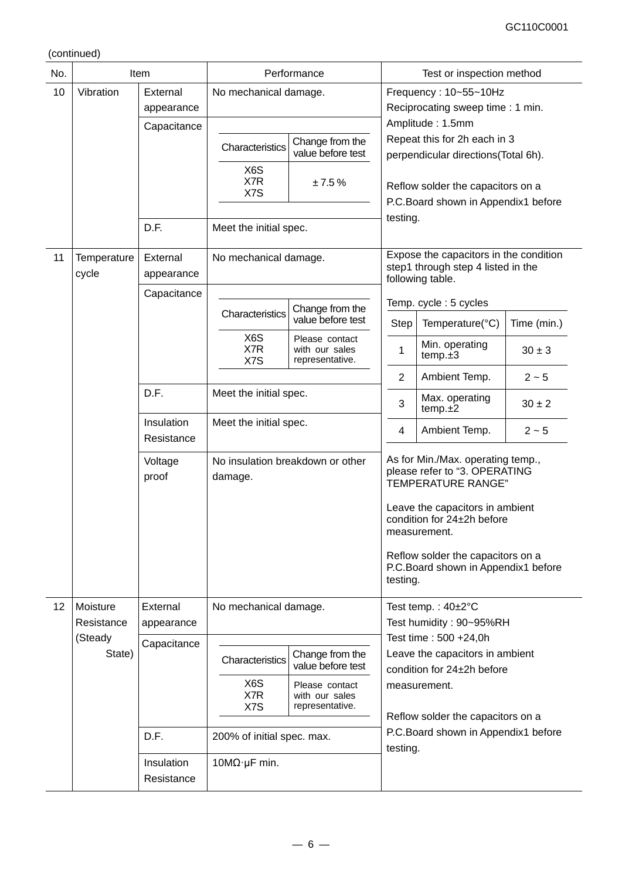(continued)

| No. |                          | Item                     | Performance                        |                                                     |                                            | Test or inspection method                                                                                                                                                                                                                             |             |  |
|-----|--------------------------|--------------------------|------------------------------------|-----------------------------------------------------|--------------------------------------------|-------------------------------------------------------------------------------------------------------------------------------------------------------------------------------------------------------------------------------------------------------|-------------|--|
| 10  | Vibration                | External                 | No mechanical damage.              |                                                     |                                            | Frequency: 10~55~10Hz                                                                                                                                                                                                                                 |             |  |
|     |                          | appearance               |                                    |                                                     |                                            | Reciprocating sweep time: 1 min.                                                                                                                                                                                                                      |             |  |
|     |                          | Capacitance              |                                    |                                                     |                                            | Amplitude: 1.5mm                                                                                                                                                                                                                                      |             |  |
|     |                          |                          | Change from the<br>Characteristics |                                                     |                                            | Repeat this for 2h each in 3                                                                                                                                                                                                                          |             |  |
|     |                          |                          |                                    | value before test                                   |                                            | perpendicular directions(Total 6h).                                                                                                                                                                                                                   |             |  |
|     |                          |                          | X6S                                |                                                     |                                            |                                                                                                                                                                                                                                                       |             |  |
|     |                          |                          | X7R<br>X7S                         | ±7.5%                                               |                                            | Reflow solder the capacitors on a                                                                                                                                                                                                                     |             |  |
|     |                          |                          |                                    |                                                     |                                            | P.C.Board shown in Appendix1 before                                                                                                                                                                                                                   |             |  |
|     |                          | D.F.                     | Meet the initial spec.             |                                                     | testing.                                   |                                                                                                                                                                                                                                                       |             |  |
|     |                          |                          |                                    |                                                     |                                            |                                                                                                                                                                                                                                                       |             |  |
| 11  | Temperature              | External                 | No mechanical damage.              |                                                     |                                            | Expose the capacitors in the condition                                                                                                                                                                                                                |             |  |
|     | cycle                    | appearance               |                                    |                                                     |                                            | step1 through step 4 listed in the<br>following table.                                                                                                                                                                                                |             |  |
|     |                          | Capacitance              |                                    |                                                     |                                            |                                                                                                                                                                                                                                                       |             |  |
|     |                          |                          | Characteristics                    | Change from the                                     |                                            | Temp. cycle: 5 cycles                                                                                                                                                                                                                                 |             |  |
|     |                          |                          |                                    | value before test                                   | Step                                       | Temperature(°C)                                                                                                                                                                                                                                       | Time (min.) |  |
|     |                          |                          | X6S<br>X7R<br>X7S                  | Please contact<br>with our sales<br>representative. | $\mathbf{1}$                               | Min. operating<br>temp.±3                                                                                                                                                                                                                             | $30 \pm 3$  |  |
|     |                          |                          |                                    |                                                     | $\overline{2}$                             | Ambient Temp.                                                                                                                                                                                                                                         | $2 - 5$     |  |
|     |                          | D.F.                     | Meet the initial spec.             |                                                     | 3                                          | Max. operating<br>temp.±2                                                                                                                                                                                                                             | $30 \pm 2$  |  |
|     | Insulation<br>Resistance |                          | Meet the initial spec.             |                                                     | $\overline{\mathbf{4}}$                    | Ambient Temp.                                                                                                                                                                                                                                         | $2 - 5$     |  |
|     |                          | Voltage<br>proof         | damage.                            | No insulation breakdown or other                    | testing.                                   | As for Min./Max. operating temp.,<br>please refer to "3. OPERATING<br>TEMPERATURE RANGE"<br>Leave the capacitors in ambient<br>condition for 24±2h before<br>measurement.<br>Reflow solder the capacitors on a<br>P.C.Board shown in Appendix1 before |             |  |
| 12  | Moisture                 | External                 | No mechanical damage.              |                                                     |                                            | Test temp.: $40\pm2^{\circ}C$                                                                                                                                                                                                                         |             |  |
|     | Resistance               | appearance               |                                    |                                                     |                                            | Test humidity: 90~95%RH                                                                                                                                                                                                                               |             |  |
|     | (Steady                  | Capacitance              |                                    |                                                     |                                            | Test time: 500 +24,0h                                                                                                                                                                                                                                 |             |  |
|     | State)                   |                          | Characteristics                    | Change from the<br>value before test                | Leave the capacitors in ambient            |                                                                                                                                                                                                                                                       |             |  |
|     |                          |                          | X6S                                | Please contact                                      | condition for 24±2h before<br>measurement. |                                                                                                                                                                                                                                                       |             |  |
|     |                          |                          | X7R<br>X7S                         | with our sales<br>representative.                   |                                            |                                                                                                                                                                                                                                                       |             |  |
|     |                          |                          |                                    |                                                     |                                            | Reflow solder the capacitors on a                                                                                                                                                                                                                     |             |  |
|     |                          | D.F.                     | 200% of initial spec. max.         |                                                     |                                            | P.C.Board shown in Appendix1 before<br>testing.                                                                                                                                                                                                       |             |  |
|     |                          | Insulation<br>Resistance | $10M\Omega$ µF min.                |                                                     |                                            |                                                                                                                                                                                                                                                       |             |  |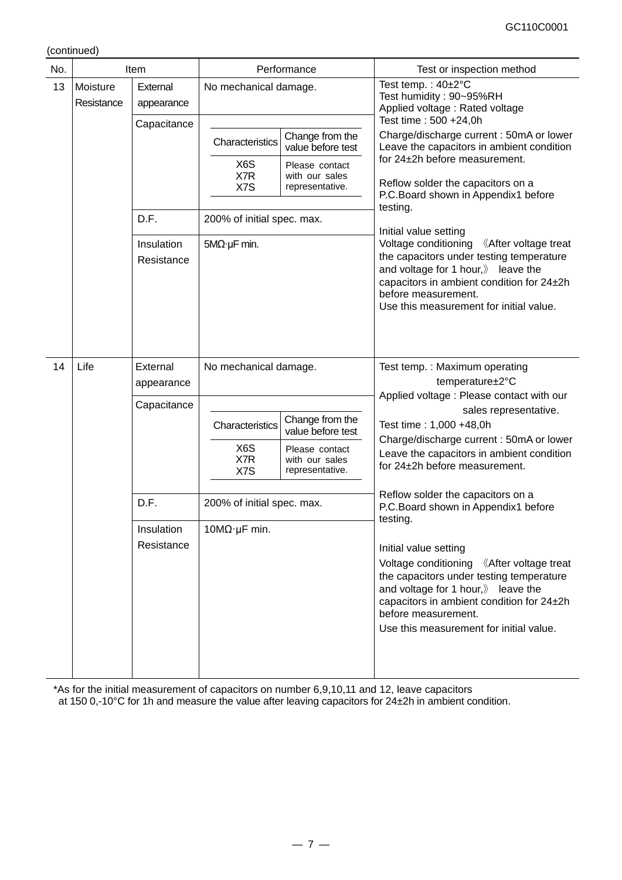(continued)

| No. |                        | Item                                  |                                                                            | Performance                                                                                 | Test or inspection method                                                                                                                                                                                                                                                                                                                                  |
|-----|------------------------|---------------------------------------|----------------------------------------------------------------------------|---------------------------------------------------------------------------------------------|------------------------------------------------------------------------------------------------------------------------------------------------------------------------------------------------------------------------------------------------------------------------------------------------------------------------------------------------------------|
| 13  | Moisture<br>Resistance | External<br>appearance                | No mechanical damage.                                                      |                                                                                             | Test temp.: 40±2°C<br>Test humidity: 90~95%RH<br>Applied voltage: Rated voltage<br>Test time: 500 +24,0h                                                                                                                                                                                                                                                   |
|     |                        | Capacitance                           | Characteristics<br>X6S<br>X7R<br>X7S                                       | Change from the<br>value before test<br>Please contact<br>with our sales<br>representative. | Charge/discharge current: 50mA or lower<br>Leave the capacitors in ambient condition<br>for 24±2h before measurement.<br>Reflow solder the capacitors on a<br>P.C.Board shown in Appendix1 before<br>testing.                                                                                                                                              |
|     |                        | D.F.<br>Insulation<br>Resistance      | 200% of initial spec. max.<br>$5M\Omega$ ·µF min.                          |                                                                                             | Initial value setting<br>Voltage conditioning 《After voltage treat<br>the capacitors under testing temperature<br>and voltage for 1 hour, leave the<br>capacitors in ambient condition for 24±2h<br>before measurement.<br>Use this measurement for initial value.                                                                                         |
| 14  | Life                   | External<br>appearance<br>Capacitance | No mechanical damage.<br>Characteristics<br>X <sub>6</sub> S<br>X7R<br>X7S | Change from the<br>value before test<br>Please contact<br>with our sales<br>representative. | Test temp.: Maximum operating<br>temperature±2°C<br>Applied voltage : Please contact with our<br>sales representative.<br>Test time: 1,000 +48,0h<br>Charge/discharge current: 50mA or lower<br>Leave the capacitors in ambient condition<br>for 24±2h before measurement.                                                                                 |
|     |                        | D.F.<br>Insulation<br>Resistance      | 200% of initial spec. max.<br>$10M\Omega \cdot \mu F$ min.                 |                                                                                             | Reflow solder the capacitors on a<br>P.C.Board shown in Appendix1 before<br>testing.<br>Initial value setting<br>Voltage conditioning 《After voltage treat<br>the capacitors under testing temperature<br>and voltage for 1 hour, leave the<br>capacitors in ambient condition for 24±2h<br>before measurement.<br>Use this measurement for initial value. |

\*As for the initial measurement of capacitors on number 6,9,10,11 and 12, leave capacitors at 150 0,-10°C for 1h and measure the value after leaving capacitors for 24±2h in ambient condition.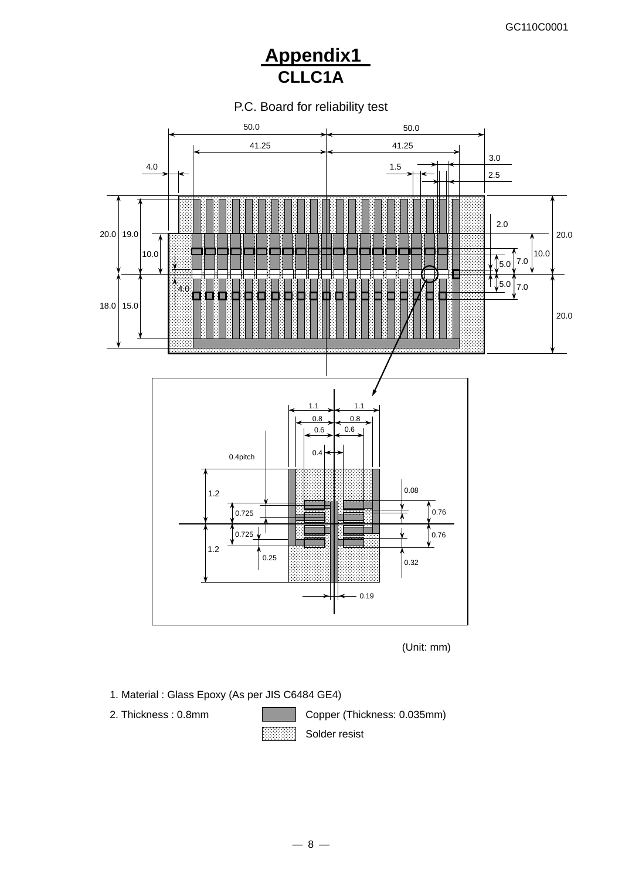# **Appendix1 CLLC1A**

P.C. Board for reliability test



(Unit: mm)

- 1. Material : Glass Epoxy (As per JIS C6484 GE4)
- 

**1989** 

2. Thickness : 0.8mm Copper (Thickness: 0.035mm)

Solder resist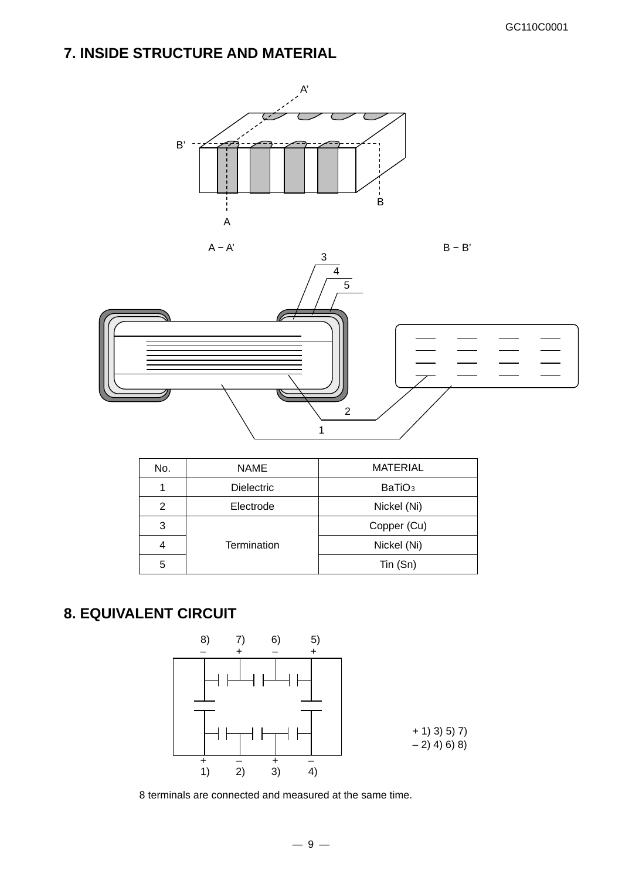# **7. INSIDE STRUCTURE AND MATERIAL**





| No. | <b>NAME</b>       | <b>MATERIAL</b>    |
|-----|-------------------|--------------------|
|     | <b>Dielectric</b> | BaTiO <sub>3</sub> |
| 2   | Electrode         | Nickel (Ni)        |
| 3   |                   | Copper (Cu)        |
|     | Termination       | Nickel (Ni)        |
| 5   |                   | $T$ in $(Sn)$      |

# **8. EQUIVALENT CIRCUIT**



8 terminals are connected and measured at the same time.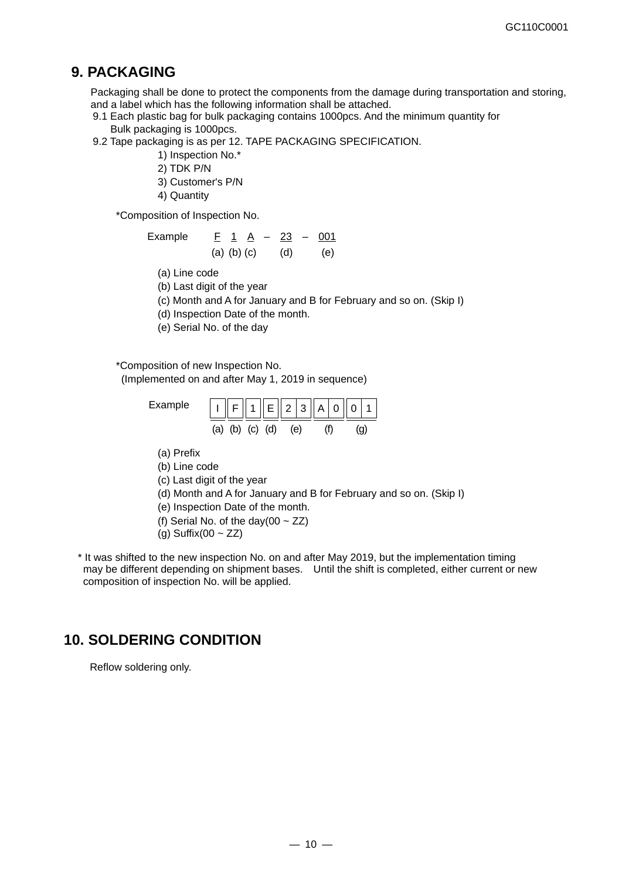## **9. PACKAGING**

Packaging shall be done to protect the components from the damage during transportation and storing, and a label which has the following information shall be attached.

- 9.1 Each plastic bag for bulk packaging contains 1000pcs. And the minimum quantity for Bulk packaging is 1000pcs.
- 9.2 Tape packaging is as per 12. TAPE PACKAGING SPECIFICATION.
	- 1) Inspection No.\*
	- 2) TDK P/N
	- 3) Customer's P/N
	- 4) Quantity

\*Composition of Inspection No.

| Example | $F$ 1 A $-$ 23 $-$ 001 |     |     |
|---------|------------------------|-----|-----|
|         | $(a)$ $(b)$ $(c)$      | (d) | (e) |

- (a) Line code
- (b) Last digit of the year
- (c) Month and A for January and B for February and so on. (Skip I)
- (d) Inspection Date of the month.
- (e) Serial No. of the day

\*Composition of new Inspection No. (Implemented on and after May 1, 2019 in sequence)

- 
- Example  $\left[\begin{array}{c|c} \begin{array}{c|c} \end{array} & \begin{array}{c|c} \end{array} & \begin{array}{c|c} \end{array} & \begin{array}{c|c} \end{array} & \begin{array}{c|c} \end{array} & \begin{array}{c|c} \end{array} & \begin{array}{c|c} \end{array} & \begin{array}{c|c} \end{array} & \begin{array}{c|c} \end{array} & \begin{array}{c|c} \end{array} & \begin{array}{c|c} \end{array} & \begin{array}{c|c} \end{array} & \begin{array}{c|c} \end{array} & \begin{array}{c$ (a) (b) (c) (d) (e) (f) (g)
	- (a) Prefix
	- (b) Line code
	- (c) Last digit of the year
	- (d) Month and A for January and B for February and so on. (Skip I)
	- (e) Inspection Date of the month.
	- (f) Serial No. of the day(00  $\sim$  ZZ)
	- (g) Suffix(00  $\sim$  ZZ)
- \* It was shifted to the new inspection No. on and after May 2019, but the implementation timing may be different depending on shipment bases. Until the shift is completed, either current or new composition of inspection No. will be applied.

# **10. SOLDERING CONDITION**

Reflow soldering only.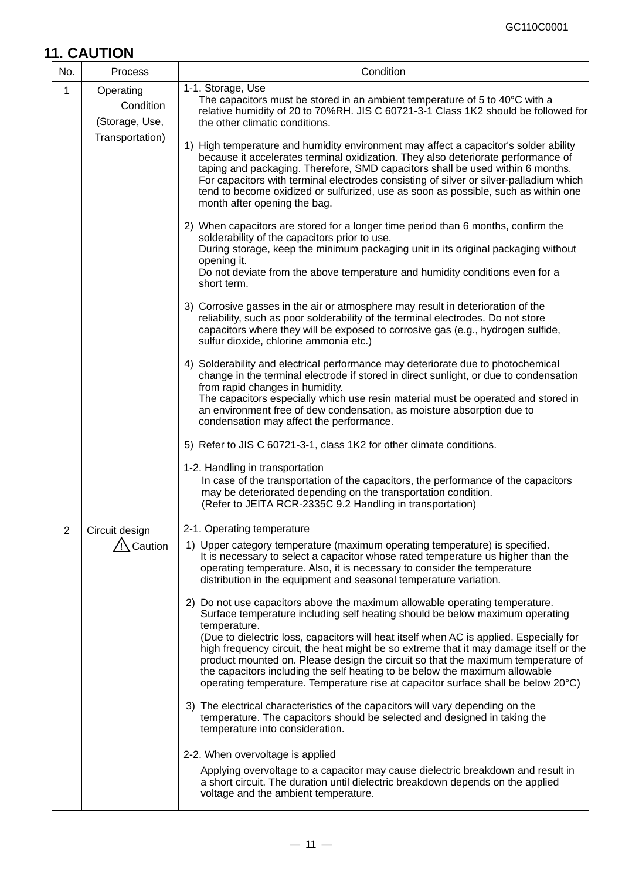# **11. CAUTION**

| No.          | Process                                  | Condition                                                                                                                                                                                                                                                                                                                                                                                                                                                                                                                                                                                                                                                                                                                                                                                                                 |
|--------------|------------------------------------------|---------------------------------------------------------------------------------------------------------------------------------------------------------------------------------------------------------------------------------------------------------------------------------------------------------------------------------------------------------------------------------------------------------------------------------------------------------------------------------------------------------------------------------------------------------------------------------------------------------------------------------------------------------------------------------------------------------------------------------------------------------------------------------------------------------------------------|
| $\mathbf{1}$ | Operating<br>Condition<br>(Storage, Use, | 1-1. Storage, Use<br>The capacitors must be stored in an ambient temperature of 5 to 40°C with a<br>relative humidity of 20 to 70%RH. JIS C 60721-3-1 Class 1K2 should be followed for<br>the other climatic conditions.                                                                                                                                                                                                                                                                                                                                                                                                                                                                                                                                                                                                  |
|              | Transportation)                          | 1) High temperature and humidity environment may affect a capacitor's solder ability<br>because it accelerates terminal oxidization. They also deteriorate performance of<br>taping and packaging. Therefore, SMD capacitors shall be used within 6 months.<br>For capacitors with terminal electrodes consisting of silver or silver-palladium which<br>tend to become oxidized or sulfurized, use as soon as possible, such as within one<br>month after opening the bag.                                                                                                                                                                                                                                                                                                                                               |
|              |                                          | 2) When capacitors are stored for a longer time period than 6 months, confirm the<br>solderability of the capacitors prior to use.<br>During storage, keep the minimum packaging unit in its original packaging without<br>opening it.<br>Do not deviate from the above temperature and humidity conditions even for a<br>short term.                                                                                                                                                                                                                                                                                                                                                                                                                                                                                     |
|              |                                          | 3) Corrosive gasses in the air or atmosphere may result in deterioration of the<br>reliability, such as poor solderability of the terminal electrodes. Do not store<br>capacitors where they will be exposed to corrosive gas (e.g., hydrogen sulfide,<br>sulfur dioxide, chlorine ammonia etc.)                                                                                                                                                                                                                                                                                                                                                                                                                                                                                                                          |
|              |                                          | 4) Solderability and electrical performance may deteriorate due to photochemical<br>change in the terminal electrode if stored in direct sunlight, or due to condensation<br>from rapid changes in humidity.<br>The capacitors especially which use resin material must be operated and stored in<br>an environment free of dew condensation, as moisture absorption due to<br>condensation may affect the performance.                                                                                                                                                                                                                                                                                                                                                                                                   |
|              |                                          | 5) Refer to JIS C 60721-3-1, class 1K2 for other climate conditions.                                                                                                                                                                                                                                                                                                                                                                                                                                                                                                                                                                                                                                                                                                                                                      |
|              |                                          | 1-2. Handling in transportation<br>In case of the transportation of the capacitors, the performance of the capacitors<br>may be deteriorated depending on the transportation condition.<br>(Refer to JEITA RCR-2335C 9.2 Handling in transportation)                                                                                                                                                                                                                                                                                                                                                                                                                                                                                                                                                                      |
| 2            | Circuit design                           | 2-1. Operating temperature                                                                                                                                                                                                                                                                                                                                                                                                                                                                                                                                                                                                                                                                                                                                                                                                |
|              | $\sqrt{N}$ Caution                       | 1) Upper category temperature (maximum operating temperature) is specified.<br>It is necessary to select a capacitor whose rated temperature us higher than the<br>operating temperature. Also, it is necessary to consider the temperature<br>distribution in the equipment and seasonal temperature variation.                                                                                                                                                                                                                                                                                                                                                                                                                                                                                                          |
|              |                                          | 2) Do not use capacitors above the maximum allowable operating temperature.<br>Surface temperature including self heating should be below maximum operating<br>temperature.<br>(Due to dielectric loss, capacitors will heat itself when AC is applied. Especially for<br>high frequency circuit, the heat might be so extreme that it may damage itself or the<br>product mounted on. Please design the circuit so that the maximum temperature of<br>the capacitors including the self heating to be below the maximum allowable<br>operating temperature. Temperature rise at capacitor surface shall be below 20°C)<br>3) The electrical characteristics of the capacitors will vary depending on the<br>temperature. The capacitors should be selected and designed in taking the<br>temperature into consideration. |
|              |                                          | 2-2. When overvoltage is applied<br>Applying overvoltage to a capacitor may cause dielectric breakdown and result in<br>a short circuit. The duration until dielectric breakdown depends on the applied                                                                                                                                                                                                                                                                                                                                                                                                                                                                                                                                                                                                                   |
|              |                                          | voltage and the ambient temperature.                                                                                                                                                                                                                                                                                                                                                                                                                                                                                                                                                                                                                                                                                                                                                                                      |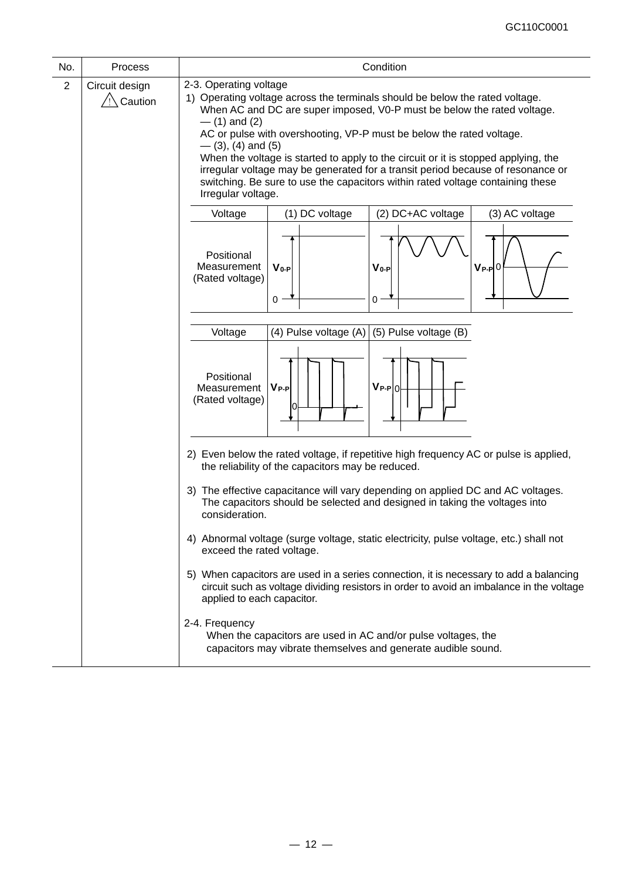| No.            | Process                     | Condition                                                                                                                                                                                                                                                                                                                                                                                                                                                                                                                                                                             |
|----------------|-----------------------------|---------------------------------------------------------------------------------------------------------------------------------------------------------------------------------------------------------------------------------------------------------------------------------------------------------------------------------------------------------------------------------------------------------------------------------------------------------------------------------------------------------------------------------------------------------------------------------------|
| $\overline{2}$ | Circuit design<br>∖ Caution | 2-3. Operating voltage<br>1) Operating voltage across the terminals should be below the rated voltage.<br>When AC and DC are super imposed, V0-P must be below the rated voltage.<br>$-$ (1) and (2)<br>AC or pulse with overshooting, VP-P must be below the rated voltage.<br>$-$ (3), (4) and (5)<br>When the voltage is started to apply to the circuit or it is stopped applying, the<br>irregular voltage may be generated for a transit period because of resonance or<br>switching. Be sure to use the capacitors within rated voltage containing these<br>Irregular voltage. |
|                |                             | (1) DC voltage<br>(2) DC+AC voltage<br>Voltage<br>(3) AC voltage                                                                                                                                                                                                                                                                                                                                                                                                                                                                                                                      |
|                |                             | Positional<br>Measurement<br>$V_{0-P}$<br>$V_0-P$<br>$V_{P-P}$ 0<br>(Rated voltage)<br>$\Omega$<br>0                                                                                                                                                                                                                                                                                                                                                                                                                                                                                  |
|                |                             | (5) Pulse voltage (B)<br>Voltage<br>(4) Pulse voltage (A)                                                                                                                                                                                                                                                                                                                                                                                                                                                                                                                             |
|                |                             | Positional<br>$V_{P-P 0}$<br>$V_{P-P}$<br>Measurement<br>(Rated voltage)                                                                                                                                                                                                                                                                                                                                                                                                                                                                                                              |
|                |                             | 2) Even below the rated voltage, if repetitive high frequency AC or pulse is applied,<br>the reliability of the capacitors may be reduced.<br>3) The effective capacitance will vary depending on applied DC and AC voltages.                                                                                                                                                                                                                                                                                                                                                         |
|                |                             | The capacitors should be selected and designed in taking the voltages into<br>consideration.                                                                                                                                                                                                                                                                                                                                                                                                                                                                                          |
|                |                             | 4) Abnormal voltage (surge voltage, static electricity, pulse voltage, etc.) shall not<br>exceed the rated voltage.                                                                                                                                                                                                                                                                                                                                                                                                                                                                   |
|                |                             | 5) When capacitors are used in a series connection, it is necessary to add a balancing<br>circuit such as voltage dividing resistors in order to avoid an imbalance in the voltage<br>applied to each capacitor.                                                                                                                                                                                                                                                                                                                                                                      |
|                |                             | 2-4. Frequency<br>When the capacitors are used in AC and/or pulse voltages, the<br>capacitors may vibrate themselves and generate audible sound.                                                                                                                                                                                                                                                                                                                                                                                                                                      |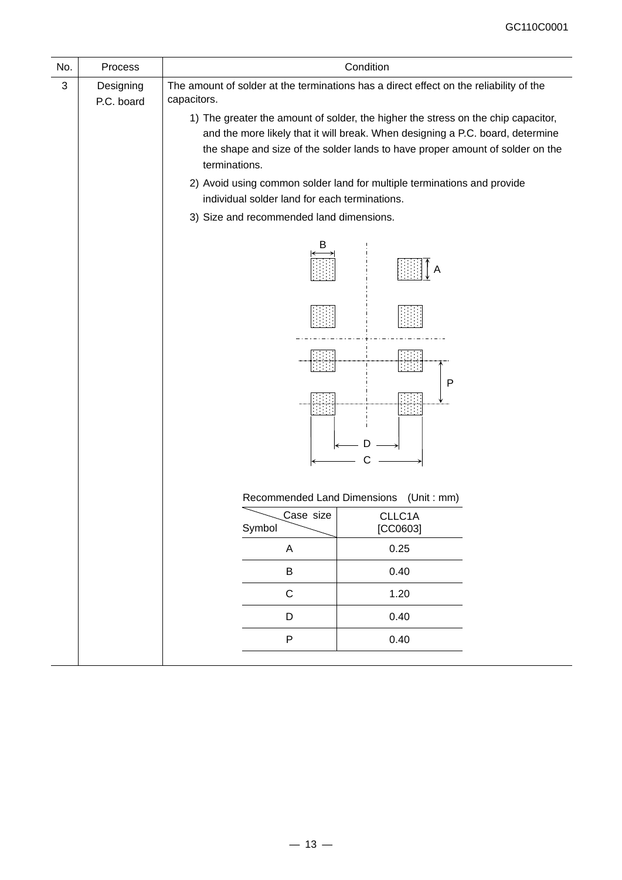| No. | Process                 |                                               | Condition                                                                                                                                                                                                                                                     |
|-----|-------------------------|-----------------------------------------------|---------------------------------------------------------------------------------------------------------------------------------------------------------------------------------------------------------------------------------------------------------------|
| 3   | Designing<br>P.C. board | capacitors.                                   | The amount of solder at the terminations has a direct effect on the reliability of the<br>1) The greater the amount of solder, the higher the stress on the chip capacitor,<br>and the more likely that it will break. When designing a P.C. board, determine |
|     |                         | terminations.                                 | the shape and size of the solder lands to have proper amount of solder on the                                                                                                                                                                                 |
|     |                         | individual solder land for each terminations. | 2) Avoid using common solder land for multiple terminations and provide                                                                                                                                                                                       |
|     |                         | 3) Size and recommended land dimensions.      |                                                                                                                                                                                                                                                               |
|     |                         | B                                             |                                                                                                                                                                                                                                                               |
|     |                         |                                               |                                                                                                                                                                                                                                                               |
|     |                         |                                               | -144<br>P                                                                                                                                                                                                                                                     |
|     |                         |                                               |                                                                                                                                                                                                                                                               |
|     |                         |                                               | Recommended Land Dimensions (Unit: mm)                                                                                                                                                                                                                        |
|     |                         | Case size<br>Symbol                           | CLLC1A<br>[CC0603]                                                                                                                                                                                                                                            |
|     |                         | A                                             | 0.25                                                                                                                                                                                                                                                          |
|     |                         | $\sf B$                                       | 0.40                                                                                                                                                                                                                                                          |
|     |                         | $\mathsf C$                                   | 1.20                                                                                                                                                                                                                                                          |
|     |                         | D                                             | 0.40                                                                                                                                                                                                                                                          |
|     |                         | $\sf P$                                       | 0.40                                                                                                                                                                                                                                                          |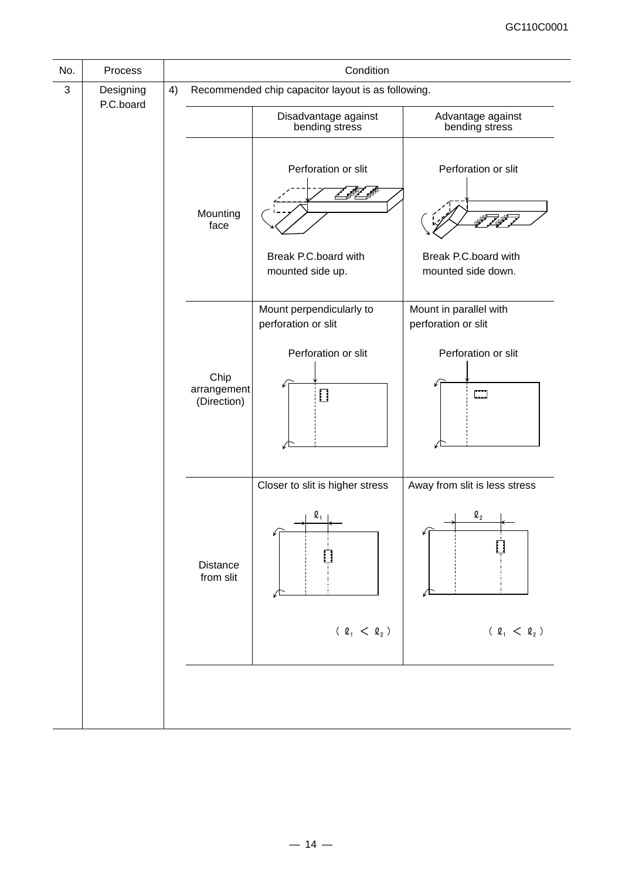| No. | Process   |    |                                    | Condition                                                                            |                                                                                          |
|-----|-----------|----|------------------------------------|--------------------------------------------------------------------------------------|------------------------------------------------------------------------------------------|
| 3   | Designing | 4) |                                    | Recommended chip capacitor layout is as following.                                   |                                                                                          |
|     | P.C.board |    |                                    | Disadvantage against<br>bending stress                                               | Advantage against<br>bending stress                                                      |
|     |           |    | Mounting<br>face                   | Perforation or slit<br>Break P.C.board with<br>mounted side up.                      | Perforation or slit<br>Break P.C.board with<br>mounted side down.                        |
|     |           |    | Chip<br>arrangement<br>(Direction) | Mount perpendicularly to<br>perforation or slit<br>Perforation or slit<br>$\Box$     | Mount in parallel with<br>perforation or slit<br>Perforation or slit<br>$\prod_{\alpha}$ |
|     |           |    | <b>Distance</b><br>from slit       | Closer to slit is higher stress<br>$\boldsymbol{\varrho}_1$<br>$( \ell_1 < \ell_2 )$ | Away from slit is less stress<br>$\boldsymbol{\varrho}_{2}$<br>$( \ell_1 < \ell_2 )$     |
|     |           |    |                                    |                                                                                      |                                                                                          |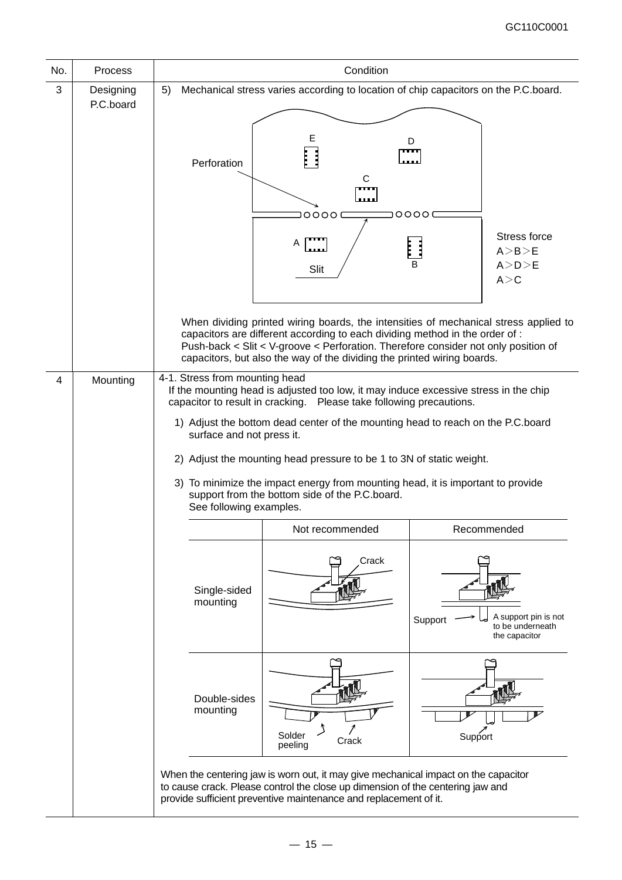| No. | Process                | Condition                                                                                                                                                                                                                                                                                                                                                                                                                                                                                                                                                |
|-----|------------------------|----------------------------------------------------------------------------------------------------------------------------------------------------------------------------------------------------------------------------------------------------------------------------------------------------------------------------------------------------------------------------------------------------------------------------------------------------------------------------------------------------------------------------------------------------------|
| 3   | Designing<br>P.C.board | Mechanical stress varies according to location of chip capacitors on the P.C.board.<br>5)                                                                                                                                                                                                                                                                                                                                                                                                                                                                |
|     |                        | Е<br>D<br>Perforation<br>С<br>0000<br>0000<br>Stress force<br>Α<br>Ë<br>A > B > E<br>A> D>E<br>Slit<br>A > C                                                                                                                                                                                                                                                                                                                                                                                                                                             |
|     |                        | When dividing printed wiring boards, the intensities of mechanical stress applied to<br>capacitors are different according to each dividing method in the order of :<br>Push-back < Slit < V-groove < Perforation. Therefore consider not only position of<br>capacitors, but also the way of the dividing the printed wiring boards.                                                                                                                                                                                                                    |
| 4   | Mounting               | 4-1. Stress from mounting head<br>If the mounting head is adjusted too low, it may induce excessive stress in the chip<br>Please take following precautions.<br>capacitor to result in cracking.<br>1) Adjust the bottom dead center of the mounting head to reach on the P.C.board<br>surface and not press it.<br>2) Adjust the mounting head pressure to be 1 to 3N of static weight.<br>3) To minimize the impact energy from mounting head, it is important to provide<br>support from the bottom side of the P.C.board.<br>See following examples. |
|     |                        | Recommended<br>Not recommended                                                                                                                                                                                                                                                                                                                                                                                                                                                                                                                           |
|     |                        | Crack<br>Single-sided<br>mounting<br>A support pin is not<br>Support<br>to be underneath<br>the capacitor                                                                                                                                                                                                                                                                                                                                                                                                                                                |
|     |                        | Double-sides<br>mounting<br>Solder<br>Support<br>Crack<br>peeling                                                                                                                                                                                                                                                                                                                                                                                                                                                                                        |
|     |                        | When the centering jaw is worn out, it may give mechanical impact on the capacitor<br>to cause crack. Please control the close up dimension of the centering jaw and<br>provide sufficient preventive maintenance and replacement of it.                                                                                                                                                                                                                                                                                                                 |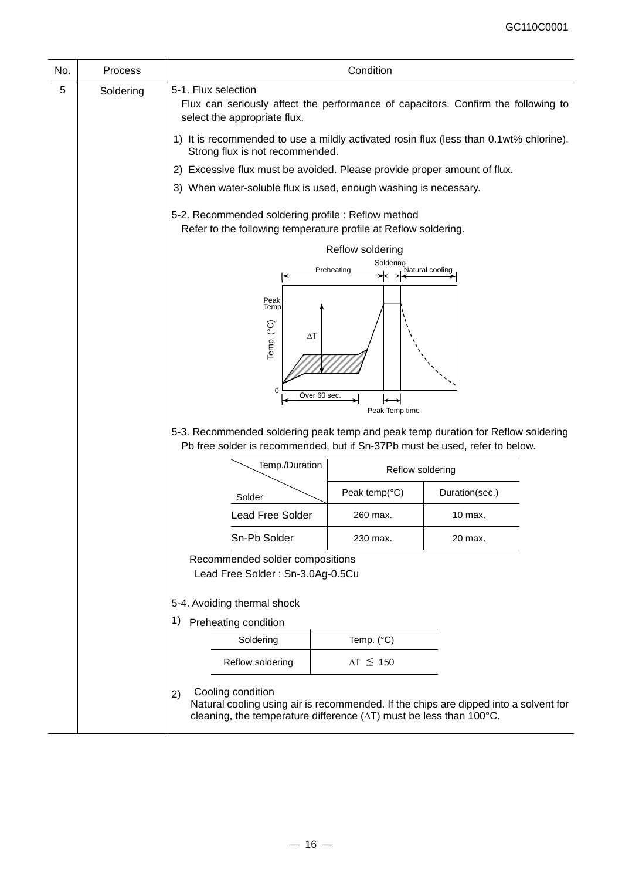| No. | Process   |                                                                                                                                                                                                                                    | Condition               |                                                                                      |  |  |
|-----|-----------|------------------------------------------------------------------------------------------------------------------------------------------------------------------------------------------------------------------------------------|-------------------------|--------------------------------------------------------------------------------------|--|--|
| 5   | Soldering | 5-1. Flux selection<br>Flux can seriously affect the performance of capacitors. Confirm the following to<br>select the appropriate flux.<br>1) It is recommended to use a mildly activated rosin flux (less than 0.1wt% chlorine). |                         |                                                                                      |  |  |
|     |           | Strong flux is not recommended.                                                                                                                                                                                                    |                         |                                                                                      |  |  |
|     |           | 2) Excessive flux must be avoided. Please provide proper amount of flux.                                                                                                                                                           |                         |                                                                                      |  |  |
|     |           | 3) When water-soluble flux is used, enough washing is necessary.                                                                                                                                                                   |                         |                                                                                      |  |  |
|     |           | 5-2. Recommended soldering profile : Reflow method<br>Refer to the following temperature profile at Reflow soldering.                                                                                                              |                         |                                                                                      |  |  |
|     |           | Reflow soldering                                                                                                                                                                                                                   |                         |                                                                                      |  |  |
|     |           |                                                                                                                                                                                                                                    | Soldering<br>Preheating | Natural cooling                                                                      |  |  |
|     |           |                                                                                                                                                                                                                                    |                         |                                                                                      |  |  |
|     |           | Peak<br>Temp                                                                                                                                                                                                                       |                         |                                                                                      |  |  |
|     |           | Temp. (°C)<br>ΔΤ<br>$\mathbf 0$<br>Over 60 sec.                                                                                                                                                                                    |                         |                                                                                      |  |  |
|     |           | 5-3. Recommended soldering peak temp and peak temp duration for Reflow soldering<br>Pb free solder is recommended, but if Sn-37Pb must be used, refer to below.                                                                    | Peak Temp time          |                                                                                      |  |  |
|     |           | Temp./Duration                                                                                                                                                                                                                     | Reflow soldering        |                                                                                      |  |  |
|     |           | Solder                                                                                                                                                                                                                             | Peak temp(°C)           | Duration(sec.)                                                                       |  |  |
|     |           | <b>Lead Free Solder</b>                                                                                                                                                                                                            | 260 max.                | 10 max.                                                                              |  |  |
|     |           | Sn-Pb Solder                                                                                                                                                                                                                       | 230 max.                | 20 max.                                                                              |  |  |
|     |           | Recommended solder compositions<br>Lead Free Solder: Sn-3.0Ag-0.5Cu                                                                                                                                                                |                         |                                                                                      |  |  |
|     |           | 5-4. Avoiding thermal shock                                                                                                                                                                                                        |                         |                                                                                      |  |  |
|     |           | Preheating condition<br>1)                                                                                                                                                                                                         |                         |                                                                                      |  |  |
|     |           | Soldering                                                                                                                                                                                                                          | Temp. (°C)              |                                                                                      |  |  |
|     |           | Reflow soldering                                                                                                                                                                                                                   | $\Delta T \leq 150$     |                                                                                      |  |  |
|     |           | Cooling condition<br>2)<br>cleaning, the temperature difference $(\Delta T)$ must be less than 100 $^{\circ}$ C.                                                                                                                   |                         | Natural cooling using air is recommended. If the chips are dipped into a solvent for |  |  |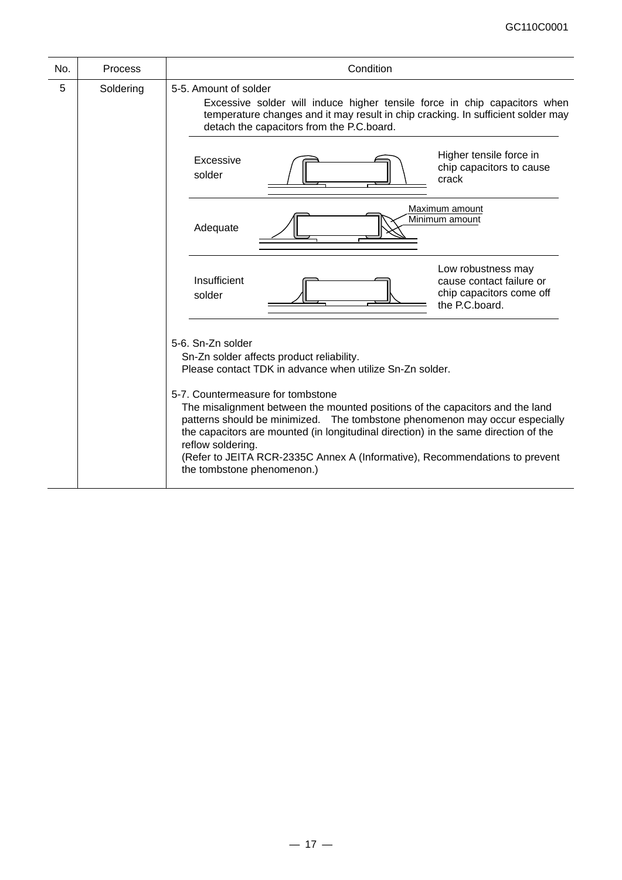| No. | Process   | Condition                                                                                                                                                                                                                                                                                                                                                                                                                                                                                                                                                |
|-----|-----------|----------------------------------------------------------------------------------------------------------------------------------------------------------------------------------------------------------------------------------------------------------------------------------------------------------------------------------------------------------------------------------------------------------------------------------------------------------------------------------------------------------------------------------------------------------|
| 5   | Soldering | 5-5. Amount of solder<br>Excessive solder will induce higher tensile force in chip capacitors when<br>temperature changes and it may result in chip cracking. In sufficient solder may<br>detach the capacitors from the P.C.board.                                                                                                                                                                                                                                                                                                                      |
|     |           | Higher tensile force in<br>Excessive<br>chip capacitors to cause<br>solder<br>crack                                                                                                                                                                                                                                                                                                                                                                                                                                                                      |
|     |           | Maximum amount<br>Minimum amount<br>Adequate                                                                                                                                                                                                                                                                                                                                                                                                                                                                                                             |
|     |           | Low robustness may<br>Insufficient<br>cause contact failure or<br>chip capacitors come off<br>solder<br>the P.C.board.                                                                                                                                                                                                                                                                                                                                                                                                                                   |
|     |           | 5-6. Sn-Zn solder<br>Sn-Zn solder affects product reliability.<br>Please contact TDK in advance when utilize Sn-Zn solder.<br>5-7. Countermeasure for tombstone<br>The misalignment between the mounted positions of the capacitors and the land<br>patterns should be minimized. The tombstone phenomenon may occur especially<br>the capacitors are mounted (in longitudinal direction) in the same direction of the<br>reflow soldering.<br>(Refer to JEITA RCR-2335C Annex A (Informative), Recommendations to prevent<br>the tombstone phenomenon.) |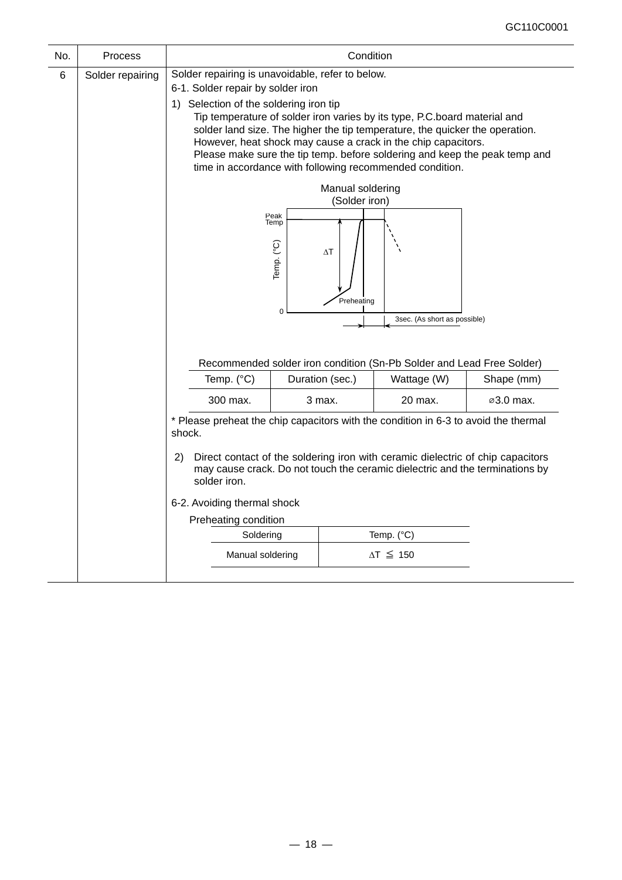| No. | Process                          | Condition                                                                                                                                                                                                                                                               |                                                                                                                                                                                                                                                                                                                                                                                                                                                                                                                                                                                                                                             |                 |                                                                                      |            |  |
|-----|----------------------------------|-------------------------------------------------------------------------------------------------------------------------------------------------------------------------------------------------------------------------------------------------------------------------|---------------------------------------------------------------------------------------------------------------------------------------------------------------------------------------------------------------------------------------------------------------------------------------------------------------------------------------------------------------------------------------------------------------------------------------------------------------------------------------------------------------------------------------------------------------------------------------------------------------------------------------------|-----------------|--------------------------------------------------------------------------------------|------------|--|
| 6   | Solder repairing                 |                                                                                                                                                                                                                                                                         | Solder repairing is unavoidable, refer to below.<br>6-1. Solder repair by solder iron<br>1) Selection of the soldering iron tip<br>Tip temperature of solder iron varies by its type, P.C.board material and<br>solder land size. The higher the tip temperature, the quicker the operation.<br>However, heat shock may cause a crack in the chip capacitors.<br>Please make sure the tip temp. before soldering and keep the peak temp and<br>time in accordance with following recommended condition.<br>Manual soldering<br>(Solder iron)<br>Peak<br>Temp<br>Temp. (°C)<br>$\Delta T$<br>Preheating<br>0<br>3sec. (As short as possible) |                 |                                                                                      |            |  |
|     |                                  | Temp. (°C)                                                                                                                                                                                                                                                              |                                                                                                                                                                                                                                                                                                                                                                                                                                                                                                                                                                                                                                             | Duration (sec.) | Recommended solder iron condition (Sn-Pb Solder and Lead Free Solder)<br>Wattage (W) | Shape (mm) |  |
|     |                                  | 300 max.                                                                                                                                                                                                                                                                |                                                                                                                                                                                                                                                                                                                                                                                                                                                                                                                                                                                                                                             | 3 max.          | 20 max.                                                                              | ⊘3.0 max.  |  |
|     |                                  | * Please preheat the chip capacitors with the condition in 6-3 to avoid the thermal<br>shock.<br>Direct contact of the soldering iron with ceramic dielectric of chip capacitors<br>(2)<br>may cause crack. Do not touch the ceramic dielectric and the terminations by |                                                                                                                                                                                                                                                                                                                                                                                                                                                                                                                                                                                                                                             |                 |                                                                                      |            |  |
|     |                                  | solder iron.<br>6-2. Avoiding thermal shock<br>Preheating condition                                                                                                                                                                                                     |                                                                                                                                                                                                                                                                                                                                                                                                                                                                                                                                                                                                                                             |                 |                                                                                      |            |  |
|     |                                  |                                                                                                                                                                                                                                                                         |                                                                                                                                                                                                                                                                                                                                                                                                                                                                                                                                                                                                                                             |                 |                                                                                      |            |  |
|     |                                  |                                                                                                                                                                                                                                                                         |                                                                                                                                                                                                                                                                                                                                                                                                                                                                                                                                                                                                                                             |                 |                                                                                      |            |  |
|     | Soldering<br>Temp. $(^{\circ}C)$ |                                                                                                                                                                                                                                                                         |                                                                                                                                                                                                                                                                                                                                                                                                                                                                                                                                                                                                                                             |                 |                                                                                      |            |  |
|     |                                  | Manual soldering                                                                                                                                                                                                                                                        |                                                                                                                                                                                                                                                                                                                                                                                                                                                                                                                                                                                                                                             |                 | $\Delta T \leq 150$                                                                  |            |  |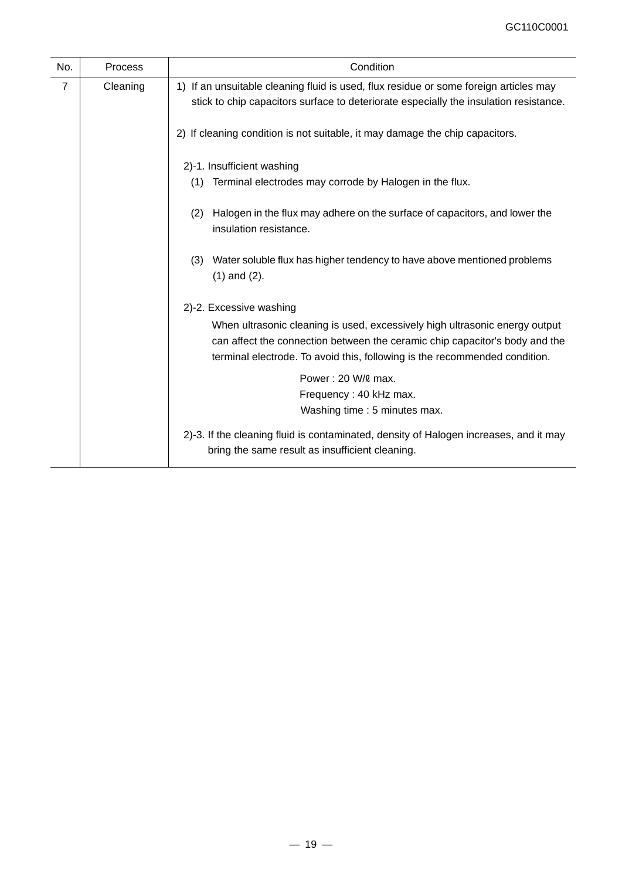| No. | <b>Process</b> | Condition                                                                                                                                                                                                                                |
|-----|----------------|------------------------------------------------------------------------------------------------------------------------------------------------------------------------------------------------------------------------------------------|
| 7   | Cleaning       | 1) If an unsuitable cleaning fluid is used, flux residue or some foreign articles may<br>stick to chip capacitors surface to deteriorate especially the insulation resistance.                                                           |
|     |                | 2) If cleaning condition is not suitable, it may damage the chip capacitors.                                                                                                                                                             |
|     |                | 2)-1. Insufficient washing<br>Terminal electrodes may corrode by Halogen in the flux.<br>(1)                                                                                                                                             |
|     |                |                                                                                                                                                                                                                                          |
|     |                | Halogen in the flux may adhere on the surface of capacitors, and lower the<br>(2)<br>insulation resistance.                                                                                                                              |
|     |                | Water soluble flux has higher tendency to have above mentioned problems<br>(3)<br>$(1)$ and $(2)$ .                                                                                                                                      |
|     |                | 2)-2. Excessive washing                                                                                                                                                                                                                  |
|     |                | When ultrasonic cleaning is used, excessively high ultrasonic energy output<br>can affect the connection between the ceramic chip capacitor's body and the<br>terminal electrode. To avoid this, following is the recommended condition. |
|     |                | Power: 20 W/2 max.                                                                                                                                                                                                                       |
|     |                | Frequency: 40 kHz max.                                                                                                                                                                                                                   |
|     |                | Washing time: 5 minutes max.                                                                                                                                                                                                             |
|     |                | 2)-3. If the cleaning fluid is contaminated, density of Halogen increases, and it may<br>bring the same result as insufficient cleaning.                                                                                                 |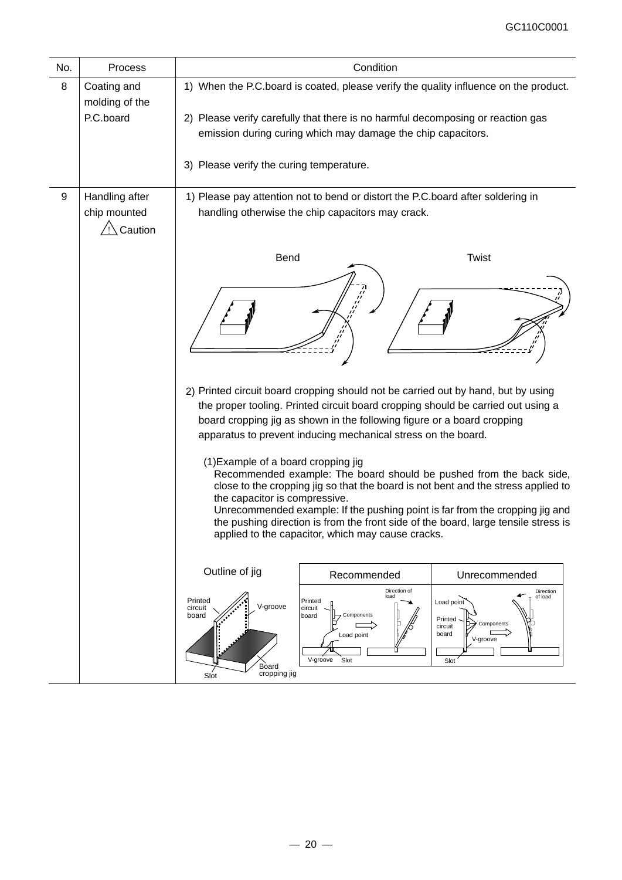| No. | Process                                    | Condition                                                                                                                                                                                                                                                                                                                                                                                                                                                   |  |  |  |  |
|-----|--------------------------------------------|-------------------------------------------------------------------------------------------------------------------------------------------------------------------------------------------------------------------------------------------------------------------------------------------------------------------------------------------------------------------------------------------------------------------------------------------------------------|--|--|--|--|
| 8   | Coating and<br>molding of the<br>P.C.board | 1) When the P.C.board is coated, please verify the quality influence on the product.<br>2) Please verify carefully that there is no harmful decomposing or reaction gas<br>emission during curing which may damage the chip capacitors.<br>3) Please verify the curing temperature.                                                                                                                                                                         |  |  |  |  |
| 9   | Handling after<br>chip mounted<br>Caution  | 1) Please pay attention not to bend or distort the P.C. board after soldering in<br>handling otherwise the chip capacitors may crack.                                                                                                                                                                                                                                                                                                                       |  |  |  |  |
|     |                                            | Bend<br><b>Twist</b>                                                                                                                                                                                                                                                                                                                                                                                                                                        |  |  |  |  |
|     |                                            |                                                                                                                                                                                                                                                                                                                                                                                                                                                             |  |  |  |  |
|     |                                            | 2) Printed circuit board cropping should not be carried out by hand, but by using<br>the proper tooling. Printed circuit board cropping should be carried out using a<br>board cropping jig as shown in the following figure or a board cropping<br>apparatus to prevent inducing mechanical stress on the board.                                                                                                                                           |  |  |  |  |
|     |                                            | (1) Example of a board cropping jig<br>Recommended example: The board should be pushed from the back side,<br>close to the cropping jig so that the board is not bent and the stress applied to<br>the capacitor is compressive.<br>Unrecommended example: If the pushing point is far from the cropping jig and<br>the pushing direction is from the front side of the board, large tensile stress is<br>applied to the capacitor, which may cause cracks. |  |  |  |  |
|     |                                            | Outline of jig<br>Recommended<br>Unrecommended                                                                                                                                                                                                                                                                                                                                                                                                              |  |  |  |  |
|     |                                            | Direction of<br>Direction<br>load<br>of load<br>Printed<br>Printed<br>Load point<br>V-groove<br>circuit<br>circuit<br>board<br>Components<br>board<br>Printed<br>Components<br>circuit<br>board<br>Load point<br>V-groove<br>V-groove<br>Slot<br>Slot<br>Board<br>cropping jig<br>Slot                                                                                                                                                                      |  |  |  |  |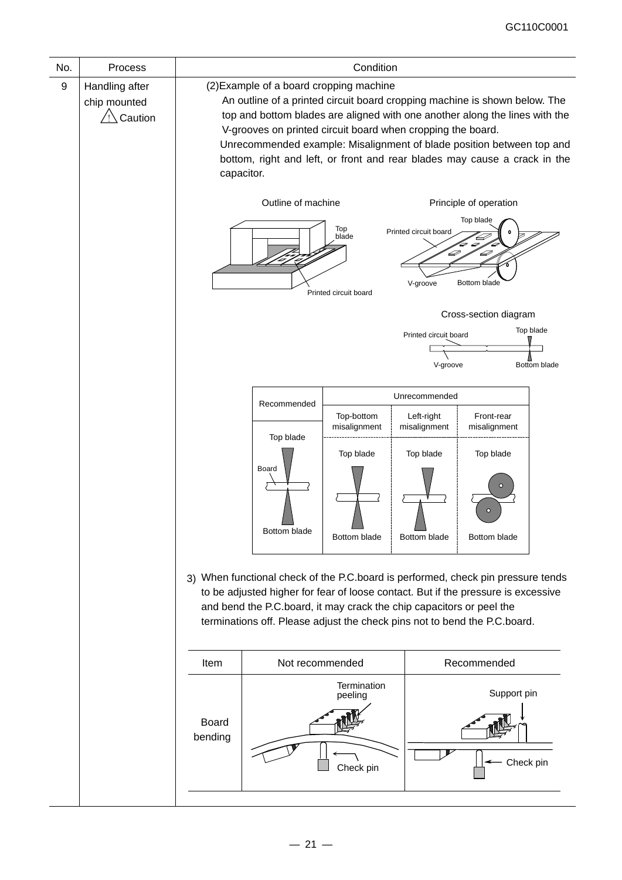| No. | Condition<br>Process                      |                                                                                                                                                                                                                                                                                                                                                                                                                                         |                                                                                                                                                                                                                                                                                                                                            |                                         |                                         |                                                    |                           |
|-----|-------------------------------------------|-----------------------------------------------------------------------------------------------------------------------------------------------------------------------------------------------------------------------------------------------------------------------------------------------------------------------------------------------------------------------------------------------------------------------------------------|--------------------------------------------------------------------------------------------------------------------------------------------------------------------------------------------------------------------------------------------------------------------------------------------------------------------------------------------|-----------------------------------------|-----------------------------------------|----------------------------------------------------|---------------------------|
| 9   | Handling after<br>chip mounted<br>Caution | (2) Example of a board cropping machine<br>An outline of a printed circuit board cropping machine is shown below. The<br>top and bottom blades are aligned with one another along the lines with the<br>V-grooves on printed circuit board when cropping the board.<br>Unrecommended example: Misalignment of blade position between top and<br>bottom, right and left, or front and rear blades may cause a crack in the<br>capacitor. |                                                                                                                                                                                                                                                                                                                                            |                                         |                                         |                                                    |                           |
|     |                                           | Outline of machine<br>Principle of operation<br>Top blade<br>Top<br>Printed circuit board<br>blade<br>D<br>€<br>V-groove<br>Bottom blade<br>Printed circuit board                                                                                                                                                                                                                                                                       |                                                                                                                                                                                                                                                                                                                                            |                                         |                                         |                                                    |                           |
|     |                                           |                                                                                                                                                                                                                                                                                                                                                                                                                                         |                                                                                                                                                                                                                                                                                                                                            |                                         | Printed circuit board<br>V-groove       | Cross-section diagram                              | Top blade<br>Bottom blade |
|     |                                           |                                                                                                                                                                                                                                                                                                                                                                                                                                         | Recommended                                                                                                                                                                                                                                                                                                                                |                                         | Unrecommended                           |                                                    |                           |
|     |                                           |                                                                                                                                                                                                                                                                                                                                                                                                                                         | Top blade<br>Board                                                                                                                                                                                                                                                                                                                         | Top-bottom<br>misalignment<br>Top blade | Left-right<br>misalignment<br>Top blade | Front-rear<br>misalignment<br>Top blade<br>$\circ$ |                           |
|     |                                           |                                                                                                                                                                                                                                                                                                                                                                                                                                         | Bottom blade<br>3) When functional check of the P.C.board is performed, check pin pressure tends<br>to be adjusted higher for fear of loose contact. But if the pressure is excessive<br>and bend the P.C.board, it may crack the chip capacitors or peel the<br>terminations off. Please adjust the check pins not to bend the P.C.board. | Bottom blade                            | Bottom blade                            | Bottom blade                                       |                           |
|     |                                           | Item                                                                                                                                                                                                                                                                                                                                                                                                                                    | Not recommended                                                                                                                                                                                                                                                                                                                            |                                         |                                         | Recommended                                        |                           |
|     | <b>Board</b><br>bending                   |                                                                                                                                                                                                                                                                                                                                                                                                                                         |                                                                                                                                                                                                                                                                                                                                            | Termination<br>peeling<br>Check pin     |                                         | Support pin<br>Check pin                           |                           |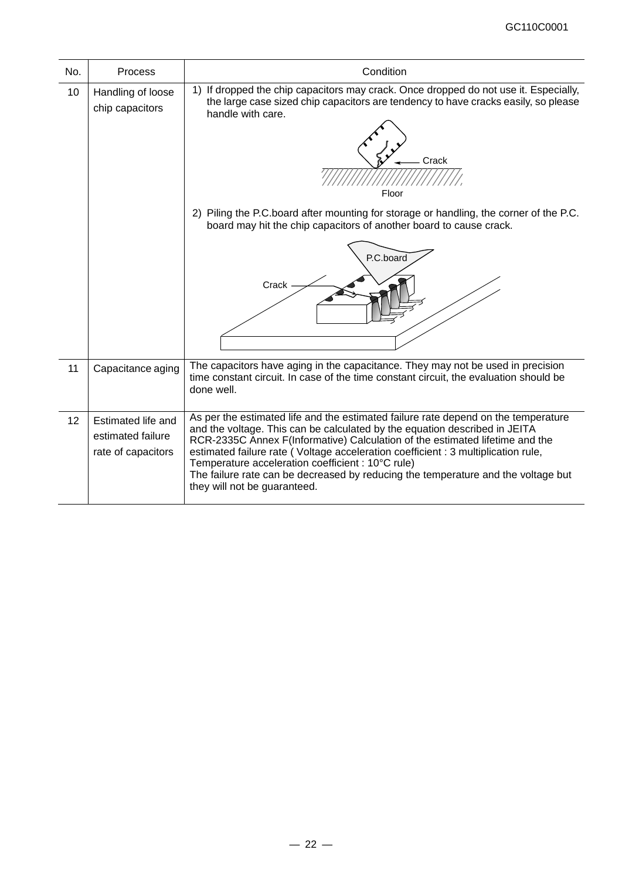| No. | <b>Process</b>                                                | Condition                                                                                                                                                                                                                                                                                                                                                                                                                                                                                                       |
|-----|---------------------------------------------------------------|-----------------------------------------------------------------------------------------------------------------------------------------------------------------------------------------------------------------------------------------------------------------------------------------------------------------------------------------------------------------------------------------------------------------------------------------------------------------------------------------------------------------|
| 10  | Handling of loose<br>chip capacitors                          | 1) If dropped the chip capacitors may crack. Once dropped do not use it. Especially,<br>the large case sized chip capacitors are tendency to have cracks easily, so please<br>handle with care.<br>Crack<br>Floor<br>2) Piling the P.C.board after mounting for storage or handling, the corner of the P.C.<br>board may hit the chip capacitors of another board to cause crack.<br>P.C.board<br>Crack                                                                                                         |
|     |                                                               |                                                                                                                                                                                                                                                                                                                                                                                                                                                                                                                 |
| 11  | Capacitance aging                                             | The capacitors have aging in the capacitance. They may not be used in precision<br>time constant circuit. In case of the time constant circuit, the evaluation should be<br>done well.                                                                                                                                                                                                                                                                                                                          |
| 12  | Estimated life and<br>estimated failure<br>rate of capacitors | As per the estimated life and the estimated failure rate depend on the temperature<br>and the voltage. This can be calculated by the equation described in JEITA<br>RCR-2335C Annex F(Informative) Calculation of the estimated lifetime and the<br>estimated failure rate (Voltage acceleration coefficient : 3 multiplication rule,<br>Temperature acceleration coefficient : 10°C rule)<br>The failure rate can be decreased by reducing the temperature and the voltage but<br>they will not be guaranteed. |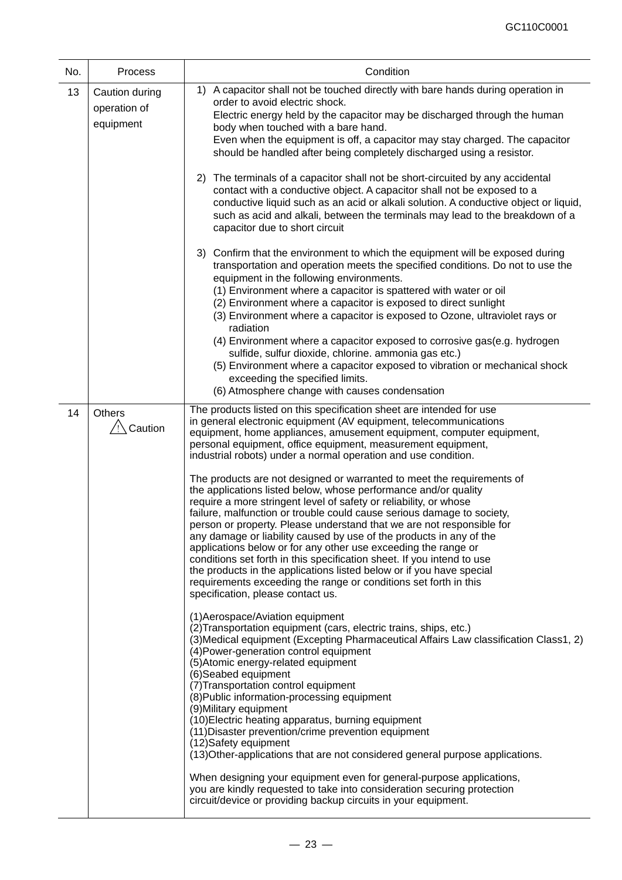| No. | Process                                     | Condition                                                                                                                                                                                                                                                                                                                                                                                                                                                                                                                                                                                                                                                                                                                                                                                                                                                                                                                                                                                                                                                                                                                                                        |  |  |  |
|-----|---------------------------------------------|------------------------------------------------------------------------------------------------------------------------------------------------------------------------------------------------------------------------------------------------------------------------------------------------------------------------------------------------------------------------------------------------------------------------------------------------------------------------------------------------------------------------------------------------------------------------------------------------------------------------------------------------------------------------------------------------------------------------------------------------------------------------------------------------------------------------------------------------------------------------------------------------------------------------------------------------------------------------------------------------------------------------------------------------------------------------------------------------------------------------------------------------------------------|--|--|--|
| 13  | Caution during<br>operation of<br>equipment | A capacitor shall not be touched directly with bare hands during operation in<br>1)<br>order to avoid electric shock.<br>Electric energy held by the capacitor may be discharged through the human<br>body when touched with a bare hand.<br>Even when the equipment is off, a capacitor may stay charged. The capacitor<br>should be handled after being completely discharged using a resistor.                                                                                                                                                                                                                                                                                                                                                                                                                                                                                                                                                                                                                                                                                                                                                                |  |  |  |
|     |                                             | The terminals of a capacitor shall not be short-circuited by any accidental<br>2)<br>contact with a conductive object. A capacitor shall not be exposed to a<br>conductive liquid such as an acid or alkali solution. A conductive object or liquid,<br>such as acid and alkali, between the terminals may lead to the breakdown of a<br>capacitor due to short circuit                                                                                                                                                                                                                                                                                                                                                                                                                                                                                                                                                                                                                                                                                                                                                                                          |  |  |  |
|     |                                             | 3) Confirm that the environment to which the equipment will be exposed during<br>transportation and operation meets the specified conditions. Do not to use the<br>equipment in the following environments.<br>(1) Environment where a capacitor is spattered with water or oil<br>(2) Environment where a capacitor is exposed to direct sunlight<br>(3) Environment where a capacitor is exposed to Ozone, ultraviolet rays or<br>radiation<br>(4) Environment where a capacitor exposed to corrosive gas(e.g. hydrogen<br>sulfide, sulfur dioxide, chlorine. ammonia gas etc.)<br>(5) Environment where a capacitor exposed to vibration or mechanical shock<br>exceeding the specified limits.<br>(6) Atmosphere change with causes condensation                                                                                                                                                                                                                                                                                                                                                                                                             |  |  |  |
|     |                                             |                                                                                                                                                                                                                                                                                                                                                                                                                                                                                                                                                                                                                                                                                                                                                                                                                                                                                                                                                                                                                                                                                                                                                                  |  |  |  |
| 14  | <b>Others</b><br>Caution                    | The products listed on this specification sheet are intended for use<br>in general electronic equipment (AV equipment, telecommunications<br>equipment, home appliances, amusement equipment, computer equipment,<br>personal equipment, office equipment, measurement equipment,<br>industrial robots) under a normal operation and use condition.<br>The products are not designed or warranted to meet the requirements of<br>the applications listed below, whose performance and/or quality<br>require a more stringent level of safety or reliability, or whose<br>failure, malfunction or trouble could cause serious damage to society,<br>person or property. Please understand that we are not responsible for<br>any damage or liability caused by use of the products in any of the<br>applications below or for any other use exceeding the range or<br>conditions set forth in this specification sheet. If you intend to use<br>the products in the applications listed below or if you have special<br>requirements exceeding the range or conditions set forth in this<br>specification, please contact us.<br>(1) Aerospace/Aviation equipment |  |  |  |
|     |                                             | (2) Transportation equipment (cars, electric trains, ships, etc.)<br>(3) Medical equipment (Excepting Pharmaceutical Affairs Law classification Class1, 2)<br>(4) Power-generation control equipment<br>(5) Atomic energy-related equipment<br>(6)Seabed equipment<br>(7) Transportation control equipment<br>(8) Public information-processing equipment<br>(9) Military equipment<br>(10) Electric heating apparatus, burning equipment<br>(11) Disaster prevention/crime prevention equipment<br>(12)Safety equipment<br>(13) Other-applications that are not considered general purpose applications.<br>When designing your equipment even for general-purpose applications,<br>you are kindly requested to take into consideration securing protection<br>circuit/device or providing backup circuits in your equipment.                                                                                                                                                                                                                                                                                                                                   |  |  |  |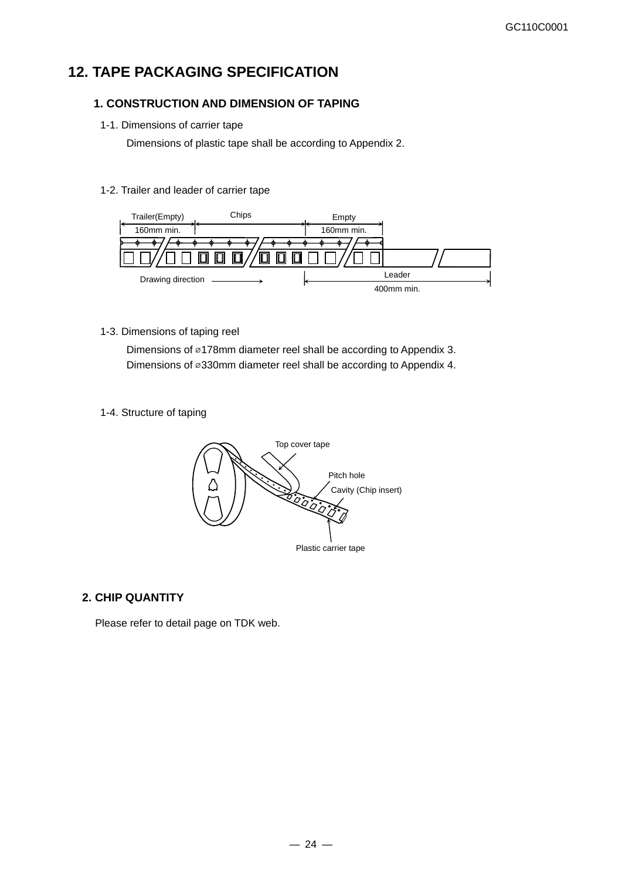# **12. TAPE PACKAGING SPECIFICATION**

### **1. CONSTRUCTION AND DIMENSION OF TAPING**

1-1. Dimensions of carrier tape

Dimensions of plastic tape shall be according to Appendix 2.

### 1-2. Trailer and leader of carrier tape



1-3. Dimensions of taping reel

Dimensions of ⌀178mm diameter reel shall be according to Appendix 3. Dimensions of ⌀330mm diameter reel shall be according to Appendix 4.

1-4. Structure of taping



### **2. CHIP QUANTITY**

Please refer to detail page on TDK web.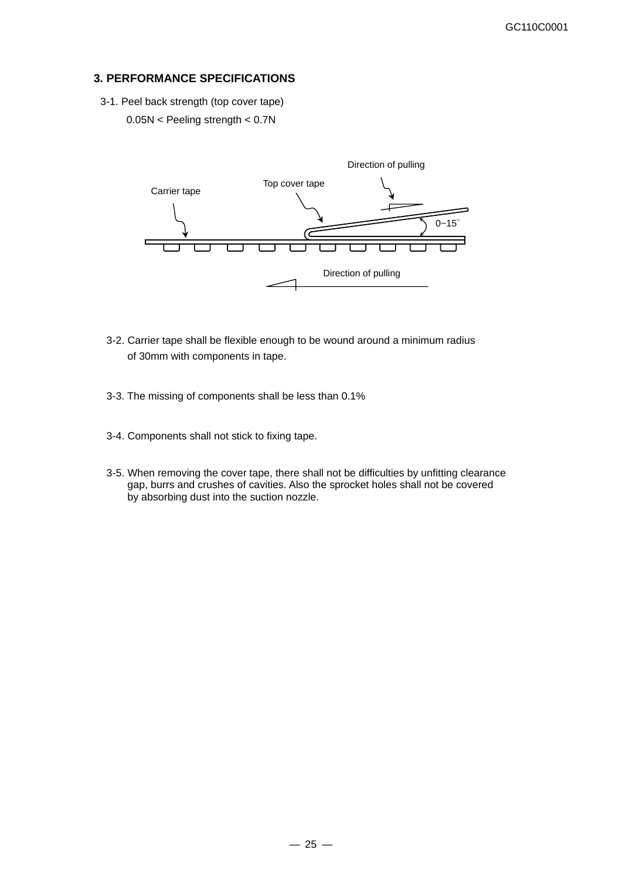### **3. PERFORMANCE SPECIFICATIONS**

3-1. Peel back strength (top cover tape) 0.05N < Peeling strength < 0.7N



- 3-2. Carrier tape shall be flexible enough to be wound around a minimum radius of 30mm with components in tape.
- 3-3. The missing of components shall be less than 0.1%
- 3-4. Components shall not stick to fixing tape.
- 3-5. When removing the cover tape, there shall not be difficulties by unfitting clearance gap, burrs and crushes of cavities. Also the sprocket holes shall not be covered by absorbing dust into the suction nozzle.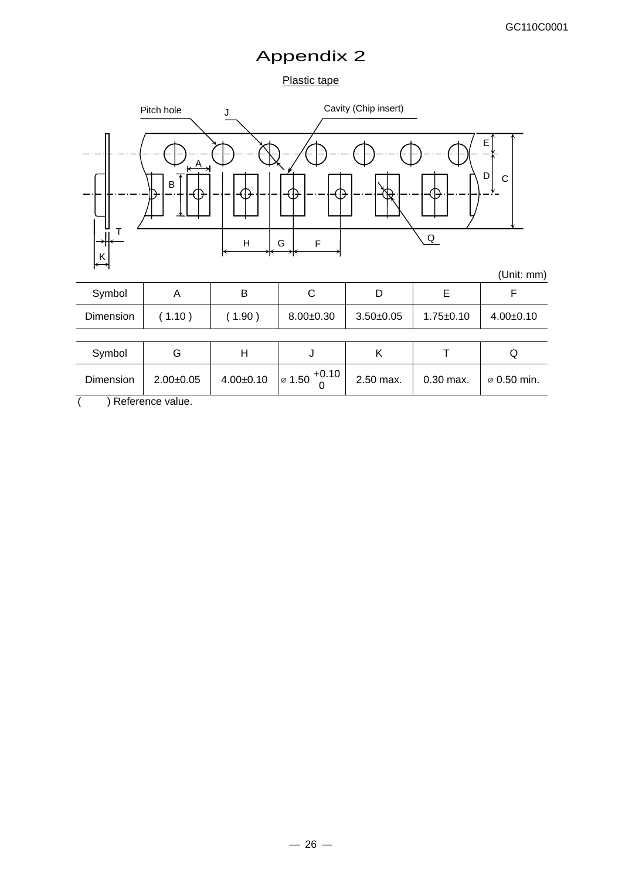# Appendix 2

### Plastic tape



( ) Reference value.